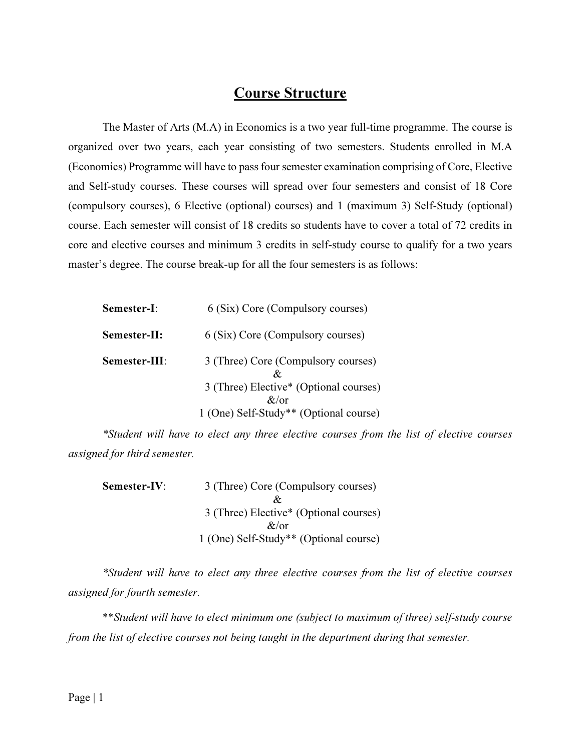# Course Structure

The Master of Arts (M.A) in Economics is a two year full-time programme. The course is organized over two years, each year consisting of two semesters. Students enrolled in M.A (Economics) Programme will have to pass four semester examination comprising of Core, Elective and Self-study courses. These courses will spread over four semesters and consist of 18 Core (compulsory courses), 6 Elective (optional) courses) and 1 (maximum 3) Self-Study (optional) course. Each semester will consist of 18 credits so students have to cover a total of 72 credits in core and elective courses and minimum 3 credits in self-study course to qualify for a two years master's degree. The course break-up for all the four semesters is as follows:

| <b>Semester-I:</b>  | 6 (Six) Core (Compulsory courses)                  |
|---------------------|----------------------------------------------------|
| <b>Semester-II:</b> | 6 (Six) Core (Compulsory courses)                  |
| Semester-III:       | 3 (Three) Core (Compulsory courses)                |
|                     | 3 (Three) Elective* (Optional courses)<br>$\&$ /or |
|                     | 1 (One) Self-Study** (Optional course)             |

\*Student will have to elect any three elective courses from the list of elective courses assigned for third semester.

| Semester-IV: | 3 (Three) Core (Compulsory courses)    |
|--------------|----------------------------------------|
|              | Xz.                                    |
|              | 3 (Three) Elective* (Optional courses) |
|              | $\alpha/\alpha r$                      |
|              | 1 (One) Self-Study** (Optional course) |

\*Student will have to elect any three elective courses from the list of elective courses assigned for fourth semester.

\*\*Student will have to elect minimum one (subject to maximum of three) self-study course from the list of elective courses not being taught in the department during that semester.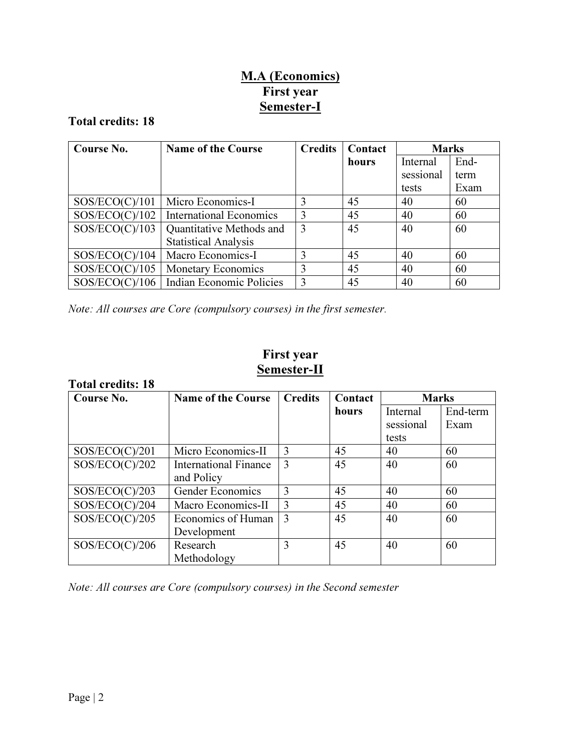# M.A (Economics) First year Semester-I

# Total credits: 18

| Course No.     | <b>Name of the Course</b>      | <b>Credits</b> | Contact | <b>Marks</b> |      |
|----------------|--------------------------------|----------------|---------|--------------|------|
|                |                                |                | hours   | Internal     | End- |
|                |                                |                |         | sessional    | term |
|                |                                |                |         | tests        | Exam |
| SOS/ECO(C)/101 | Micro Economics-I              | 3              | 45      | 40           | 60   |
| SOS/ECO(C)/102 | <b>International Economics</b> | 3              | 45      | 40           | 60   |
| SOS/ECO(C)/103 | Quantitative Methods and       | 3              | 45      | 40           | 60   |
|                | <b>Statistical Analysis</b>    |                |         |              |      |
| SOS/ECO(C)/104 | Macro Economics-I              | 3              | 45      | 40           | 60   |
| SOS/ECO(C)/105 | <b>Monetary Economics</b>      | 3              | 45      | 40           | 60   |
| SOS/ECO(C)/106 | Indian Economic Policies       | 3              | 45      | 40           | 60   |

Note: All courses are Core (compulsory courses) in the first semester.

# First year Semester-II

| <b>Total credits: 18</b> |                              |                |         |                       |                  |
|--------------------------|------------------------------|----------------|---------|-----------------------|------------------|
| Course No.               | <b>Name of the Course</b>    | <b>Credits</b> | Contact | <b>Marks</b>          |                  |
|                          |                              |                | hours   | Internal<br>sessional | End-term<br>Exam |
|                          |                              |                |         | tests                 |                  |
| SOS/ECO(C)/201           | Micro Economics-II           | 3              | 45      | 40                    | 60               |
| SOS/ECO(C)/202           | <b>International Finance</b> | 3              | 45      | 40                    | 60               |
|                          | and Policy                   |                |         |                       |                  |
| SOS/ECO(C)/203           | Gender Economics             | 3              | 45      | 40                    | 60               |
| SOS/ECO(C)/204           | Macro Economics-II           | 3              | 45      | 40                    | 60               |
| SOS/ECO(C)/205           | Economics of Human           | 3              | 45      | 40                    | 60               |
|                          | Development                  |                |         |                       |                  |
| SOS/ECO(C)/206           | Research                     | 3              | 45      | 40                    | 60               |
|                          | Methodology                  |                |         |                       |                  |

Note: All courses are Core (compulsory courses) in the Second semester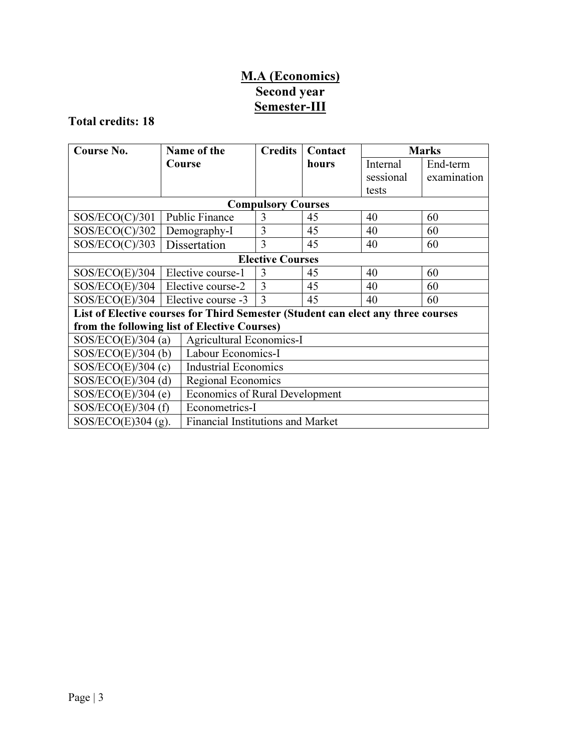# M.A (Economics) Second year Semester-III

# Total credits: 18

| Course No.                                   | Name of the                                                                      | <b>Credits</b>              | Contact | <b>Marks</b> |             |
|----------------------------------------------|----------------------------------------------------------------------------------|-----------------------------|---------|--------------|-------------|
|                                              | Course                                                                           |                             | hours   | Internal     | End-term    |
|                                              |                                                                                  |                             |         | sessional    | examination |
|                                              |                                                                                  |                             |         | tests        |             |
|                                              |                                                                                  | <b>Compulsory Courses</b>   |         |              |             |
| SOS/ECO(C)/301                               | <b>Public Finance</b>                                                            | 3                           | 45      | 40           | 60          |
| SOS/ECO(C)/302                               | Demography-I                                                                     | 3                           | 45      | 40           | 60          |
| SOS/ECO(C)/303                               | Dissertation                                                                     | 3                           | 45      | 40           | 60          |
| <b>Elective Courses</b>                      |                                                                                  |                             |         |              |             |
| SOS/ECO(E)/304                               | Elective course-1                                                                | 3                           | 45      | 40           | 60          |
| SOS/ECO(E)/304                               | Elective course-2                                                                | 3                           | 45      | 40           | 60          |
|                                              | $SOS/ECO(E)/304$   Elective course -3                                            | 3                           | 45      | 40           | 60          |
|                                              | List of Elective courses for Third Semester (Student can elect any three courses |                             |         |              |             |
| from the following list of Elective Courses) |                                                                                  |                             |         |              |             |
| $SOS/ECO(E)/304$ (a)                         |                                                                                  | Agricultural Economics-I    |         |              |             |
| $SOS/ECO(E)/304$ (b)                         |                                                                                  | Labour Economics-I          |         |              |             |
| $SOS/ECO(E)/304$ (c)                         |                                                                                  | <b>Industrial Economics</b> |         |              |             |
| $SOS/ECO(E)/304$ (d)                         |                                                                                  | Regional Economics          |         |              |             |
| $SOS/ECO(E)/304$ (e)                         | <b>Economics of Rural Development</b>                                            |                             |         |              |             |
| $SOS/ECO(E)/304$ (f)                         |                                                                                  | Econometrics-I              |         |              |             |
| SOS/ECO $(E)$ 304 $(g)$ .                    | <b>Financial Institutions and Market</b>                                         |                             |         |              |             |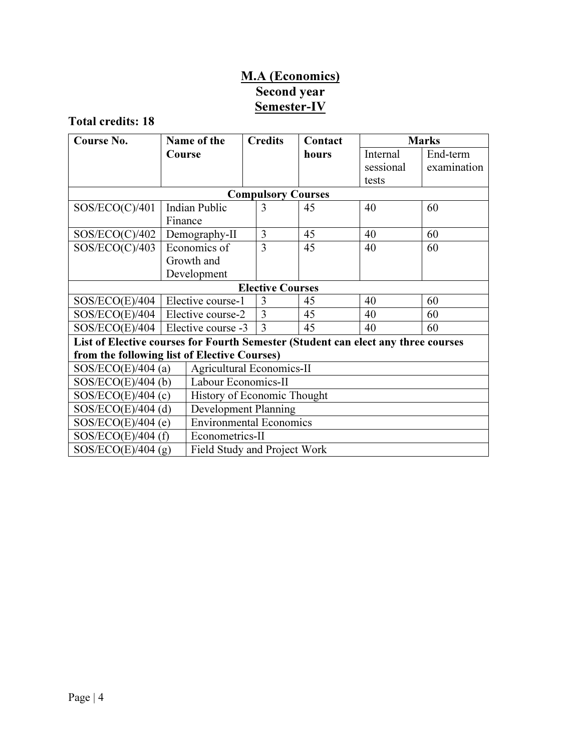# M.A (Economics) Second year Semester-IV

Total credits: 18

| Course No.                                                                        | Name of the                  | <b>Credits</b>                   | Contact | <b>Marks</b> |             |  |
|-----------------------------------------------------------------------------------|------------------------------|----------------------------------|---------|--------------|-------------|--|
|                                                                                   | Course                       |                                  | hours   | Internal     | End-term    |  |
|                                                                                   |                              |                                  |         | sessional    | examination |  |
|                                                                                   |                              |                                  |         | tests        |             |  |
|                                                                                   |                              | <b>Compulsory Courses</b>        |         |              |             |  |
| SOS/ECO(C)/401                                                                    | <b>Indian Public</b>         | 3                                | 45      | 40           | 60          |  |
|                                                                                   | Finance                      |                                  |         |              |             |  |
| SOS/ECO(C)/402                                                                    | Demography-II                | 3                                | 45      | 40           | 60          |  |
| SOS/ECO(C)/403                                                                    | Economics of                 | 3                                | 45      | 40           | 60          |  |
|                                                                                   | Growth and                   |                                  |         |              |             |  |
|                                                                                   | Development                  |                                  |         |              |             |  |
|                                                                                   |                              | <b>Elective Courses</b>          |         |              |             |  |
| SOS/ECO(E)/404                                                                    | Elective course-1            | $\mathcal{R}$                    | 45      | 40           | 60          |  |
| $SOS/ECO(E)/404$   Elective course-2                                              |                              | $\overline{3}$<br>45<br>40<br>60 |         |              |             |  |
| $SOS/ECO(E)/404$   Elective course -3                                             |                              | 3<br>45<br>40<br>60              |         |              |             |  |
| List of Elective courses for Fourth Semester (Student can elect any three courses |                              |                                  |         |              |             |  |
| from the following list of Elective Courses)                                      |                              |                                  |         |              |             |  |
| $SOS/ECO(E)/404$ (a)                                                              | Agricultural Economics-II    |                                  |         |              |             |  |
| $SOS/ECO(E)/404$ (b)                                                              | Labour Economics-II          |                                  |         |              |             |  |
| $SOS/ECO(E)/404$ (c)                                                              | History of Economic Thought  |                                  |         |              |             |  |
| $SOS/ECO(E)/404$ (d)                                                              |                              | Development Planning             |         |              |             |  |
| $SOS/ECO(E)/404$ (e)                                                              |                              | <b>Environmental Economics</b>   |         |              |             |  |
| $SOS/ECO(E)/404$ (f)                                                              |                              | Econometrics-II                  |         |              |             |  |
| SOS/ECO(E)/404(g)                                                                 | Field Study and Project Work |                                  |         |              |             |  |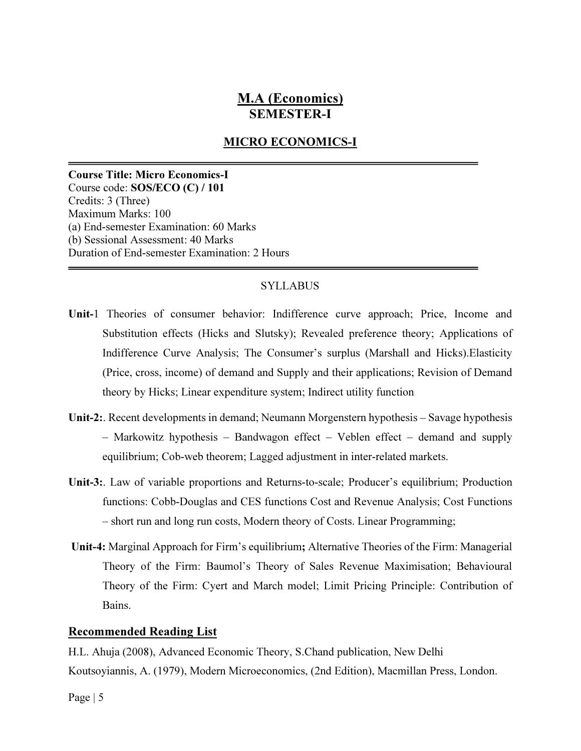# M.A (Economics) SEMESTER-I

# MICRO ECONOMICS-I

Course Title: Micro Economics-I Course code: SOS/ECO (C) / 101 Credits: 3 (Three) Maximum Marks: 100 (a) End-semester Examination: 60 Marks (b) Sessional Assessment: 40 Marks Duration of End-semester Examination: 2 Hours

#### SYLLABUS

- Unit-1 Theories of consumer behavior: Indifference curve approach; Price, Income and Substitution effects (Hicks and Slutsky); Revealed preference theory; Applications of Indifference Curve Analysis; The Consumer's surplus (Marshall and Hicks).Elasticity (Price, cross, income) of demand and Supply and their applications; Revision of Demand theory by Hicks; Linear expenditure system; Indirect utility function
- Unit-2:. Recent developments in demand; Neumann Morgenstern hypothesis Savage hypothesis – Markowitz hypothesis – Bandwagon effect – Veblen effect – demand and supply equilibrium; Cob-web theorem; Lagged adjustment in inter-related markets.
- Unit-3:. Law of variable proportions and Returns-to-scale; Producer's equilibrium; Production functions: Cobb-Douglas and CES functions Cost and Revenue Analysis; Cost Functions – short run and long run costs, Modern theory of Costs. Linear Programming;
- Unit-4: Marginal Approach for Firm's equilibrium; Alternative Theories of the Firm: Managerial Theory of the Firm: Baumol's Theory of Sales Revenue Maximisation; Behavioural Theory of the Firm: Cyert and March model; Limit Pricing Principle: Contribution of Bains.

#### Recommended Reading List

H.L. Ahuja (2008), Advanced Economic Theory, S.Chand publication, New Delhi Koutsoyiannis, A. (1979), Modern Microeconomics, (2nd Edition), Macmillan Press, London.

Page | 5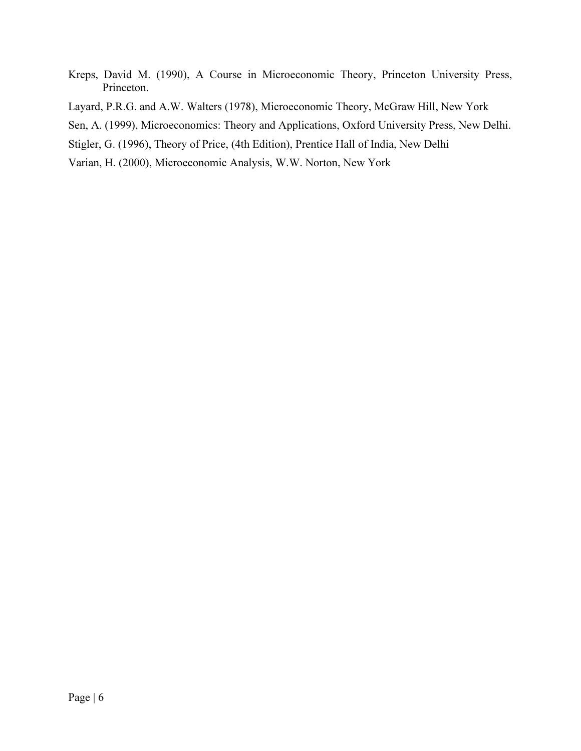- Kreps, David M. (1990), A Course in Microeconomic Theory, Princeton University Press, Princeton.
- Layard, P.R.G. and A.W. Walters (1978), Microeconomic Theory, McGraw Hill, New York
- Sen, A. (1999), Microeconomics: Theory and Applications, Oxford University Press, New Delhi.
- Stigler, G. (1996), Theory of Price, (4th Edition), Prentice Hall of India, New Delhi
- Varian, H. (2000), Microeconomic Analysis, W.W. Norton, New York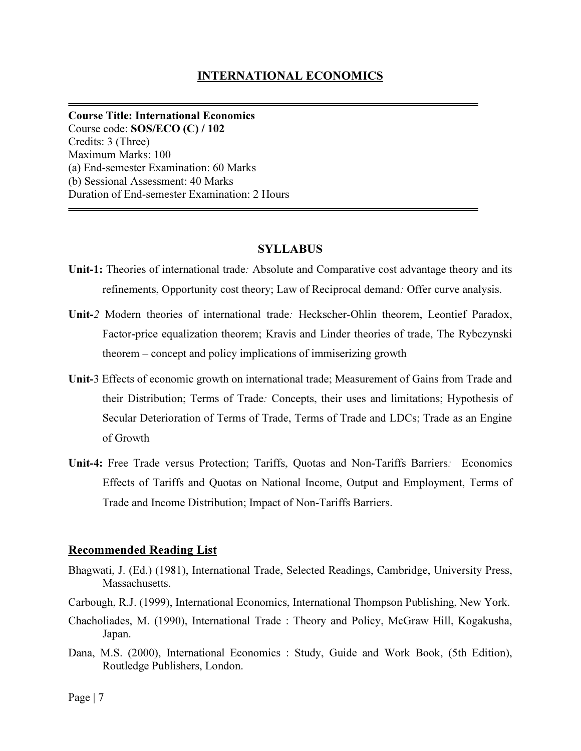## INTERNATIONAL ECONOMICS

Course Title: International Economics Course code: SOS/ECO (C) / 102 Credits: 3 (Three) Maximum Marks: 100 (a) End-semester Examination: 60 Marks (b) Sessional Assessment: 40 Marks Duration of End-semester Examination: 2 Hours

#### SYLLABUS

- Unit-1: Theories of international trade: Absolute and Comparative cost advantage theory and its refinements, Opportunity cost theory; Law of Reciprocal demand: Offer curve analysis.
- Unit-2 Modern theories of international trade: Heckscher-Ohlin theorem, Leontief Paradox, Factor-price equalization theorem; Kravis and Linder theories of trade, The Rybczynski theorem – concept and policy implications of immiserizing growth
- Unit-3 Effects of economic growth on international trade; Measurement of Gains from Trade and their Distribution; Terms of Trade: Concepts, their uses and limitations; Hypothesis of Secular Deterioration of Terms of Trade, Terms of Trade and LDCs; Trade as an Engine of Growth
- Unit-4: Free Trade versus Protection; Tariffs, Quotas and Non-Tariffs Barriers: Economics Effects of Tariffs and Quotas on National Income, Output and Employment, Terms of Trade and Income Distribution; Impact of Non-Tariffs Barriers.

#### Recommended Reading List

- Bhagwati, J. (Ed.) (1981), International Trade, Selected Readings, Cambridge, University Press, Massachusetts.
- Carbough, R.J. (1999), International Economics, International Thompson Publishing, New York.
- Chacholiades, M. (1990), International Trade : Theory and Policy, McGraw Hill, Kogakusha, Japan.
- Dana, M.S. (2000), International Economics : Study, Guide and Work Book, (5th Edition), Routledge Publishers, London.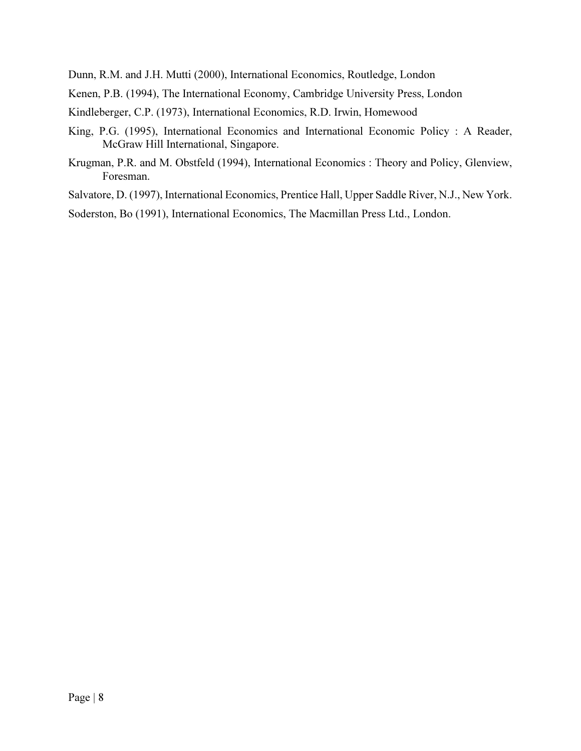Dunn, R.M. and J.H. Mutti (2000), International Economics, Routledge, London

Kenen, P.B. (1994), The International Economy, Cambridge University Press, London

Kindleberger, C.P. (1973), International Economics, R.D. Irwin, Homewood

- King, P.G. (1995), International Economics and International Economic Policy : A Reader, McGraw Hill International, Singapore.
- Krugman, P.R. and M. Obstfeld (1994), International Economics : Theory and Policy, Glenview, Foresman.

Salvatore, D. (1997), International Economics, Prentice Hall, Upper Saddle River, N.J., New York.

Soderston, Bo (1991), International Economics, The Macmillan Press Ltd., London.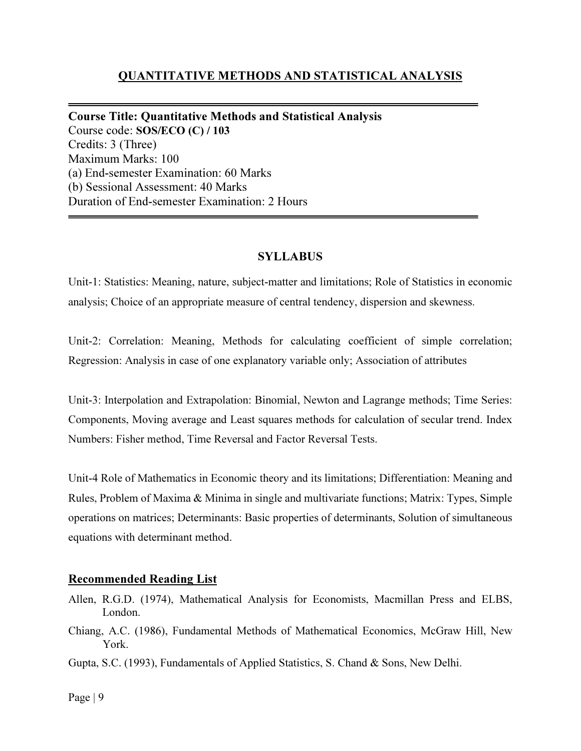# QUANTITATIVE METHODS AND STATISTICAL ANALYSIS

Course Title: Quantitative Methods and Statistical Analysis Course code: SOS/ECO (C) / 103 Credits: 3 (Three) Maximum Marks: 100 (a) End-semester Examination: 60 Marks (b) Sessional Assessment: 40 Marks Duration of End-semester Examination: 2 Hours

## SYLLABUS

Unit-1: Statistics: Meaning, nature, subject-matter and limitations; Role of Statistics in economic analysis; Choice of an appropriate measure of central tendency, dispersion and skewness.

Unit-2: Correlation: Meaning, Methods for calculating coefficient of simple correlation; Regression: Analysis in case of one explanatory variable only; Association of attributes

Unit-3: Interpolation and Extrapolation: Binomial, Newton and Lagrange methods; Time Series: Components, Moving average and Least squares methods for calculation of secular trend. Index Numbers: Fisher method, Time Reversal and Factor Reversal Tests.

Unit-4 Role of Mathematics in Economic theory and its limitations; Differentiation: Meaning and Rules, Problem of Maxima & Minima in single and multivariate functions; Matrix: Types, Simple operations on matrices; Determinants: Basic properties of determinants, Solution of simultaneous equations with determinant method.

### Recommended Reading List

- Allen, R.G.D. (1974), Mathematical Analysis for Economists, Macmillan Press and ELBS, London.
- Chiang, A.C. (1986), Fundamental Methods of Mathematical Economics, McGraw Hill, New York.
- Gupta, S.C. (1993), Fundamentals of Applied Statistics, S. Chand & Sons, New Delhi.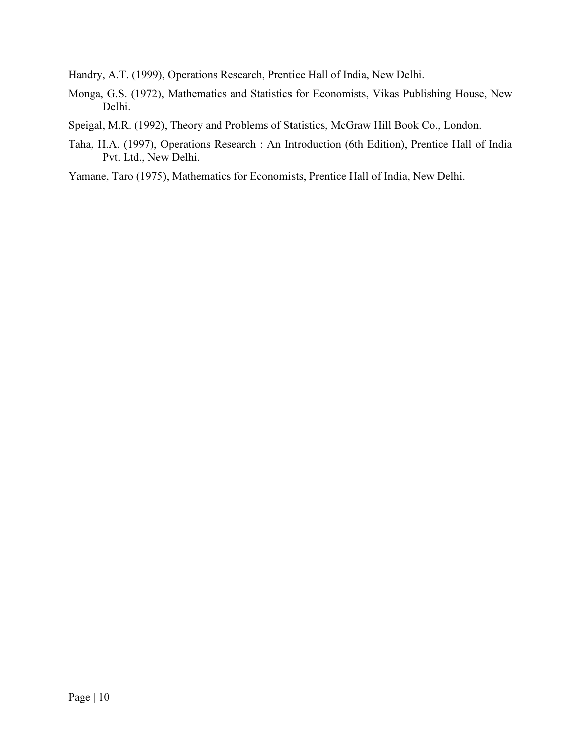Handry, A.T. (1999), Operations Research, Prentice Hall of India, New Delhi.

- Monga, G.S. (1972), Mathematics and Statistics for Economists, Vikas Publishing House, New Delhi.
- Speigal, M.R. (1992), Theory and Problems of Statistics, McGraw Hill Book Co., London.
- Taha, H.A. (1997), Operations Research : An Introduction (6th Edition), Prentice Hall of India Pvt. Ltd., New Delhi.

Yamane, Taro (1975), Mathematics for Economists, Prentice Hall of India, New Delhi.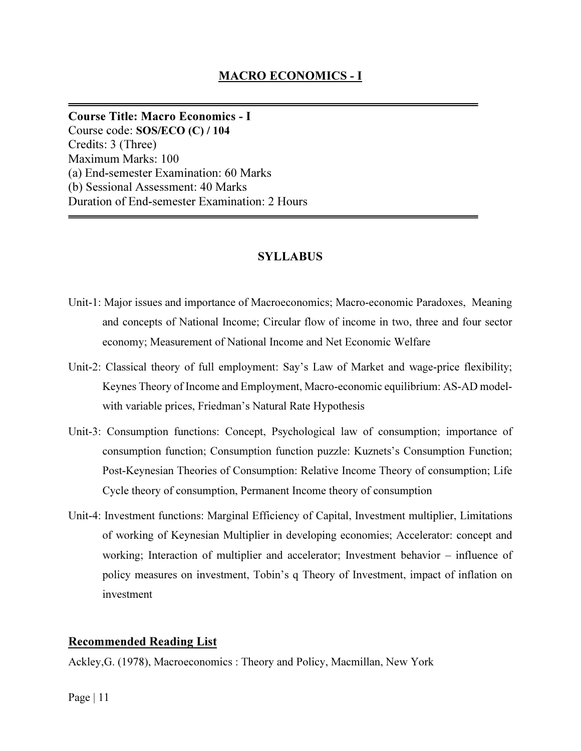Course Title: Macro Economics - I Course code: SOS/ECO (C) / 104 Credits: 3 (Three) Maximum Marks: 100 (a) End-semester Examination: 60 Marks (b) Sessional Assessment: 40 Marks Duration of End-semester Examination: 2 Hours

# SYLLABUS

- Unit-1: Major issues and importance of Macroeconomics; Macro-economic Paradoxes, Meaning and concepts of National Income; Circular flow of income in two, three and four sector economy; Measurement of National Income and Net Economic Welfare
- Unit-2: Classical theory of full employment: Say's Law of Market and wage-price flexibility; Keynes Theory of Income and Employment, Macro-economic equilibrium: AS-AD modelwith variable prices, Friedman's Natural Rate Hypothesis
- Unit-3: Consumption functions: Concept, Psychological law of consumption; importance of consumption function; Consumption function puzzle: Kuznets's Consumption Function; Post-Keynesian Theories of Consumption: Relative Income Theory of consumption; Life Cycle theory of consumption, Permanent Income theory of consumption
- Unit-4: Investment functions: Marginal Efficiency of Capital, Investment multiplier, Limitations of working of Keynesian Multiplier in developing economies; Accelerator: concept and working; Interaction of multiplier and accelerator; Investment behavior – influence of policy measures on investment, Tobin's q Theory of Investment, impact of inflation on investment

### Recommended Reading List

Ackley,G. (1978), Macroeconomics : Theory and Policy, Macmillan, New York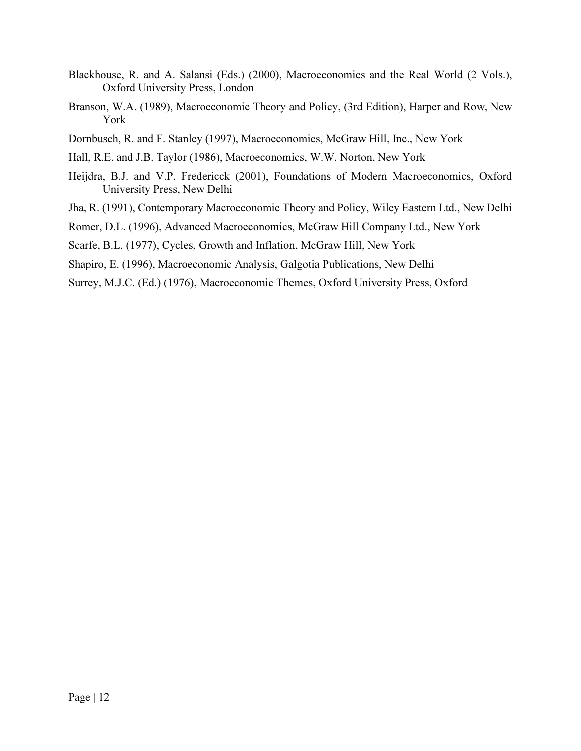- Blackhouse, R. and A. Salansi (Eds.) (2000), Macroeconomics and the Real World (2 Vols.), Oxford University Press, London
- Branson, W.A. (1989), Macroeconomic Theory and Policy, (3rd Edition), Harper and Row, New York
- Dornbusch, R. and F. Stanley (1997), Macroeconomics, McGraw Hill, Inc., New York
- Hall, R.E. and J.B. Taylor (1986), Macroeconomics, W.W. Norton, New York
- Heijdra, B.J. and V.P. Fredericck (2001), Foundations of Modern Macroeconomics, Oxford University Press, New Delhi
- Jha, R. (1991), Contemporary Macroeconomic Theory and Policy, Wiley Eastern Ltd., New Delhi
- Romer, D.L. (1996), Advanced Macroeconomics, McGraw Hill Company Ltd., New York
- Scarfe, B.L. (1977), Cycles, Growth and Inflation, McGraw Hill, New York
- Shapiro, E. (1996), Macroeconomic Analysis, Galgotia Publications, New Delhi
- Surrey, M.J.C. (Ed.) (1976), Macroeconomic Themes, Oxford University Press, Oxford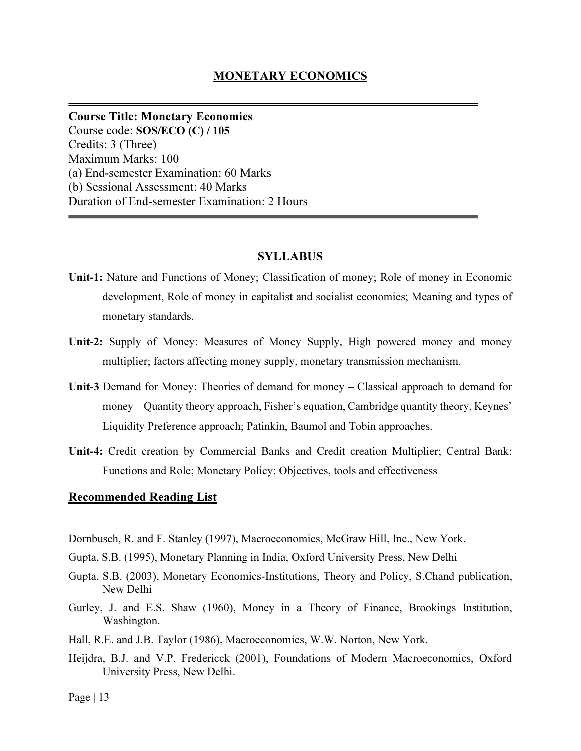### MONETARY ECONOMICS

Course Title: Monetary Economics Course code: SOS/ECO (C) / 105 Credits: 3 (Three) Maximum Marks: 100 (a) End-semester Examination: 60 Marks (b) Sessional Assessment: 40 Marks Duration of End-semester Examination: 2 Hours

#### SYLLABUS

- Unit-1: Nature and Functions of Money; Classification of money; Role of money in Economic development, Role of money in capitalist and socialist economies; Meaning and types of monetary standards.
- Unit-2: Supply of Money: Measures of Money Supply, High powered money and money multiplier; factors affecting money supply, monetary transmission mechanism.
- Unit-3 Demand for Money: Theories of demand for money Classical approach to demand for money – Quantity theory approach, Fisher's equation, Cambridge quantity theory, Keynes' Liquidity Preference approach; Patinkin, Baumol and Tobin approaches.
- Unit-4: Credit creation by Commercial Banks and Credit creation Multiplier; Central Bank: Functions and Role; Monetary Policy: Objectives, tools and effectiveness

#### Recommended Reading List

- Dornbusch, R. and F. Stanley (1997), Macroeconomics, McGraw Hill, Inc., New York.
- Gupta, S.B. (1995), Monetary Planning in India, Oxford University Press, New Delhi
- Gupta, S.B. (2003), Monetary Economics-Institutions, Theory and Policy, S.Chand publication, New Delhi
- Gurley, J. and E.S. Shaw (1960), Money in a Theory of Finance, Brookings Institution, Washington.
- Hall, R.E. and J.B. Taylor (1986), Macroeconomics, W.W. Norton, New York.
- Heijdra, B.J. and V.P. Fredericck (2001), Foundations of Modern Macroeconomics, Oxford University Press, New Delhi.

Page  $| 13$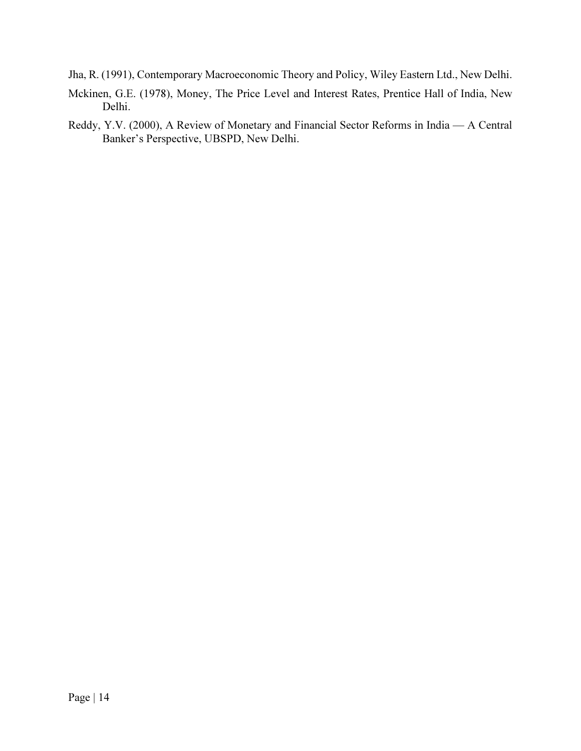Jha, R. (1991), Contemporary Macroeconomic Theory and Policy, Wiley Eastern Ltd., New Delhi.

- Mckinen, G.E. (1978), Money, The Price Level and Interest Rates, Prentice Hall of India, New Delhi.
- Reddy, Y.V. (2000), A Review of Monetary and Financial Sector Reforms in India A Central Banker's Perspective, UBSPD, New Delhi.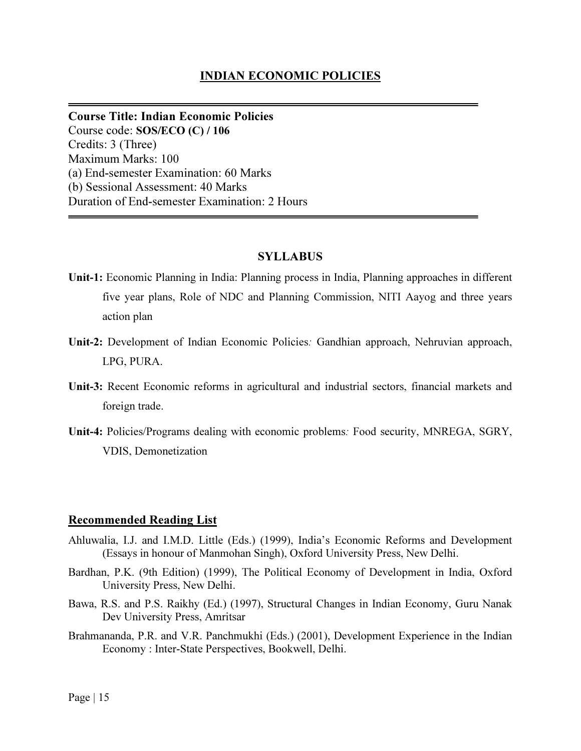### INDIAN ECONOMIC POLICIES

Course Title: Indian Economic Policies Course code: SOS/ECO (C) / 106 Credits: 3 (Three) Maximum Marks: 100 (a) End-semester Examination: 60 Marks (b) Sessional Assessment: 40 Marks Duration of End-semester Examination: 2 Hours

#### SYLLABUS

Unit-1: Economic Planning in India: Planning process in India, Planning approaches in different five year plans, Role of NDC and Planning Commission, NITI Aayog and three years action plan

- Unit-2: Development of Indian Economic Policies: Gandhian approach, Nehruvian approach, LPG, PURA.
- Unit-3: Recent Economic reforms in agricultural and industrial sectors, financial markets and foreign trade.
- Unit-4: Policies/Programs dealing with economic problems: Food security, MNREGA, SGRY, VDIS, Demonetization

#### Recommended Reading List

- Ahluwalia, I.J. and I.M.D. Little (Eds.) (1999), India's Economic Reforms and Development (Essays in honour of Manmohan Singh), Oxford University Press, New Delhi.
- Bardhan, P.K. (9th Edition) (1999), The Political Economy of Development in India, Oxford University Press, New Delhi.
- Bawa, R.S. and P.S. Raikhy (Ed.) (1997), Structural Changes in Indian Economy, Guru Nanak Dev University Press, Amritsar
- Brahmananda, P.R. and V.R. Panchmukhi (Eds.) (2001), Development Experience in the Indian Economy : Inter-State Perspectives, Bookwell, Delhi.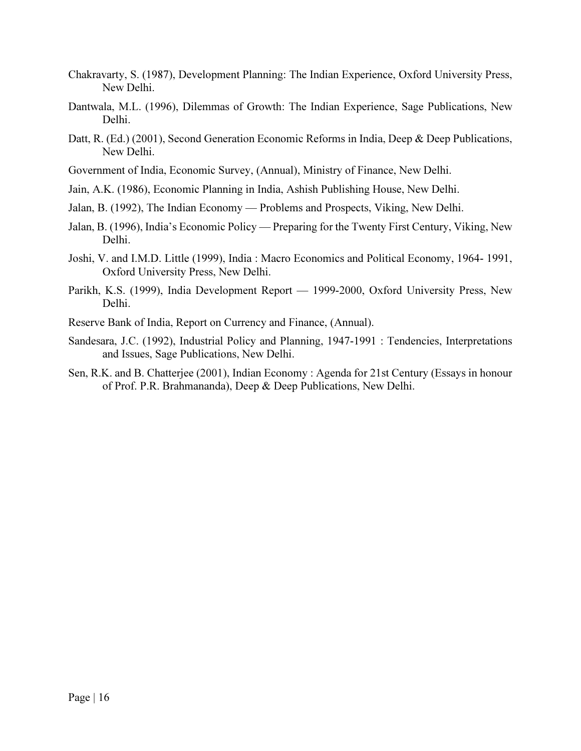- Chakravarty, S. (1987), Development Planning: The Indian Experience, Oxford University Press, New Delhi.
- Dantwala, M.L. (1996), Dilemmas of Growth: The Indian Experience, Sage Publications, New Delhi.
- Datt, R. (Ed.) (2001), Second Generation Economic Reforms in India, Deep & Deep Publications, New Delhi.
- Government of India, Economic Survey, (Annual), Ministry of Finance, New Delhi.
- Jain, A.K. (1986), Economic Planning in India, Ashish Publishing House, New Delhi.
- Jalan, B. (1992), The Indian Economy Problems and Prospects, Viking, New Delhi.
- Jalan, B. (1996), India's Economic Policy Preparing for the Twenty First Century, Viking, New Delhi.
- Joshi, V. and I.M.D. Little (1999), India : Macro Economics and Political Economy, 1964- 1991, Oxford University Press, New Delhi.
- Parikh, K.S. (1999), India Development Report 1999-2000, Oxford University Press, New Delhi.
- Reserve Bank of India, Report on Currency and Finance, (Annual).
- Sandesara, J.C. (1992), Industrial Policy and Planning, 1947-1991 : Tendencies, Interpretations and Issues, Sage Publications, New Delhi.
- Sen, R.K. and B. Chatterjee (2001), Indian Economy : Agenda for 21st Century (Essays in honour of Prof. P.R. Brahmananda), Deep & Deep Publications, New Delhi.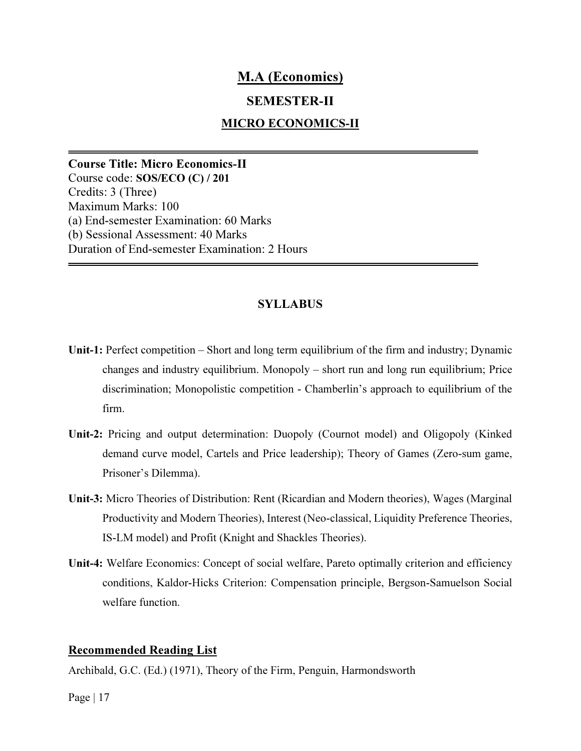# M.A (Economics)

# SEMESTER-II

## MICRO ECONOMICS-II

Course Title: Micro Economics-II Course code: SOS/ECO (C) / 201 Credits: 3 (Three) Maximum Marks: 100 (a) End-semester Examination: 60 Marks (b) Sessional Assessment: 40 Marks Duration of End-semester Examination: 2 Hours

## **SYLLABUS**

- Unit-1: Perfect competition Short and long term equilibrium of the firm and industry; Dynamic changes and industry equilibrium. Monopoly – short run and long run equilibrium; Price discrimination; Monopolistic competition - Chamberlin's approach to equilibrium of the firm.
- Unit-2: Pricing and output determination: Duopoly (Cournot model) and Oligopoly (Kinked demand curve model, Cartels and Price leadership); Theory of Games (Zero-sum game, Prisoner's Dilemma).
- Unit-3: Micro Theories of Distribution: Rent (Ricardian and Modern theories), Wages (Marginal Productivity and Modern Theories), Interest (Neo-classical, Liquidity Preference Theories, IS-LM model) and Profit (Knight and Shackles Theories).
- Unit-4: Welfare Economics: Concept of social welfare, Pareto optimally criterion and efficiency conditions, Kaldor-Hicks Criterion: Compensation principle, Bergson-Samuelson Social welfare function.

#### Recommended Reading List

Archibald, G.C. (Ed.) (1971), Theory of the Firm, Penguin, Harmondsworth

Page  $|17|$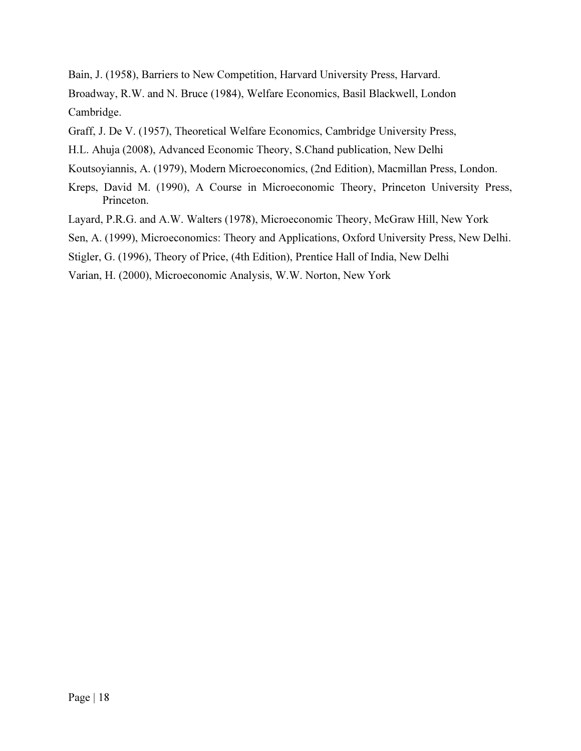Bain, J. (1958), Barriers to New Competition, Harvard University Press, Harvard. Broadway, R.W. and N. Bruce (1984), Welfare Economics, Basil Blackwell, London Cambridge.

Graff, J. De V. (1957), Theoretical Welfare Economics, Cambridge University Press,

H.L. Ahuja (2008), Advanced Economic Theory, S.Chand publication, New Delhi

Koutsoyiannis, A. (1979), Modern Microeconomics, (2nd Edition), Macmillan Press, London.

Kreps, David M. (1990), A Course in Microeconomic Theory, Princeton University Press, Princeton.

Layard, P.R.G. and A.W. Walters (1978), Microeconomic Theory, McGraw Hill, New York

Sen, A. (1999), Microeconomics: Theory and Applications, Oxford University Press, New Delhi.

Stigler, G. (1996), Theory of Price, (4th Edition), Prentice Hall of India, New Delhi

Varian, H. (2000), Microeconomic Analysis, W.W. Norton, New York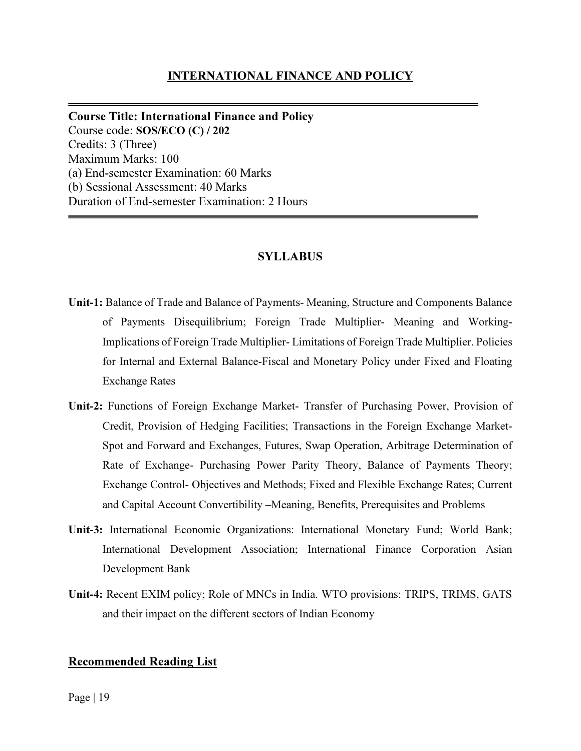## INTERNATIONAL FINANCE AND POLICY

Course Title: International Finance and Policy Course code: SOS/ECO (C) / 202 Credits: 3 (Three) Maximum Marks: 100 (a) End-semester Examination: 60 Marks (b) Sessional Assessment: 40 Marks Duration of End-semester Examination: 2 Hours

### SYLLABUS

- Unit-1: Balance of Trade and Balance of Payments- Meaning, Structure and Components Balance of Payments Disequilibrium; Foreign Trade Multiplier- Meaning and Working-Implications of Foreign Trade Multiplier- Limitations of Foreign Trade Multiplier. Policies for Internal and External Balance-Fiscal and Monetary Policy under Fixed and Floating Exchange Rates
- Unit-2: Functions of Foreign Exchange Market- Transfer of Purchasing Power, Provision of Credit, Provision of Hedging Facilities; Transactions in the Foreign Exchange Market-Spot and Forward and Exchanges, Futures, Swap Operation, Arbitrage Determination of Rate of Exchange- Purchasing Power Parity Theory, Balance of Payments Theory; Exchange Control- Objectives and Methods; Fixed and Flexible Exchange Rates; Current and Capital Account Convertibility –Meaning, Benefits, Prerequisites and Problems
- Unit-3: International Economic Organizations: International Monetary Fund; World Bank; International Development Association; International Finance Corporation Asian Development Bank
- Unit-4: Recent EXIM policy; Role of MNCs in India. WTO provisions: TRIPS, TRIMS, GATS and their impact on the different sectors of Indian Economy

### Recommended Reading List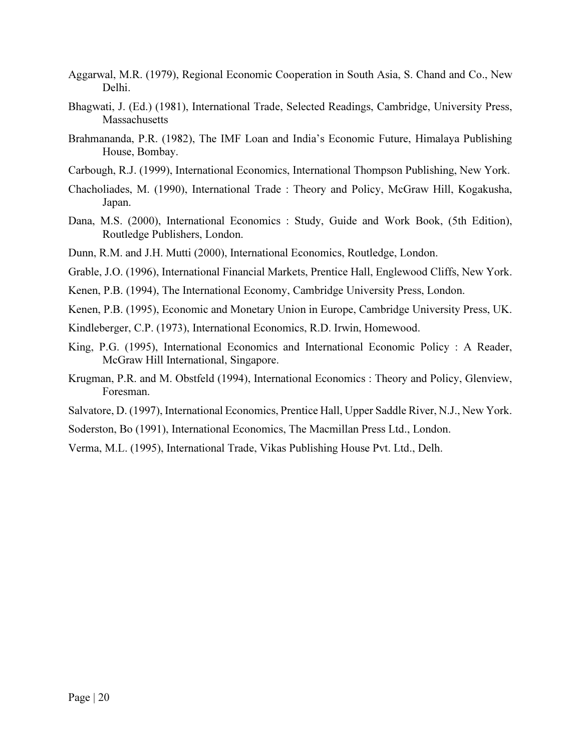- Aggarwal, M.R. (1979), Regional Economic Cooperation in South Asia, S. Chand and Co., New Delhi.
- Bhagwati, J. (Ed.) (1981), International Trade, Selected Readings, Cambridge, University Press, Massachusetts
- Brahmananda, P.R. (1982), The IMF Loan and India's Economic Future, Himalaya Publishing House, Bombay.
- Carbough, R.J. (1999), International Economics, International Thompson Publishing, New York.
- Chacholiades, M. (1990), International Trade : Theory and Policy, McGraw Hill, Kogakusha, Japan.
- Dana, M.S. (2000), International Economics : Study, Guide and Work Book, (5th Edition), Routledge Publishers, London.
- Dunn, R.M. and J.H. Mutti (2000), International Economics, Routledge, London.
- Grable, J.O. (1996), International Financial Markets, Prentice Hall, Englewood Cliffs, New York.
- Kenen, P.B. (1994), The International Economy, Cambridge University Press, London.
- Kenen, P.B. (1995), Economic and Monetary Union in Europe, Cambridge University Press, UK.
- Kindleberger, C.P. (1973), International Economics, R.D. Irwin, Homewood.
- King, P.G. (1995), International Economics and International Economic Policy : A Reader, McGraw Hill International, Singapore.
- Krugman, P.R. and M. Obstfeld (1994), International Economics : Theory and Policy, Glenview, Foresman.
- Salvatore, D. (1997), International Economics, Prentice Hall, Upper Saddle River, N.J., New York.
- Soderston, Bo (1991), International Economics, The Macmillan Press Ltd., London.
- Verma, M.L. (1995), International Trade, Vikas Publishing House Pvt. Ltd., Delh.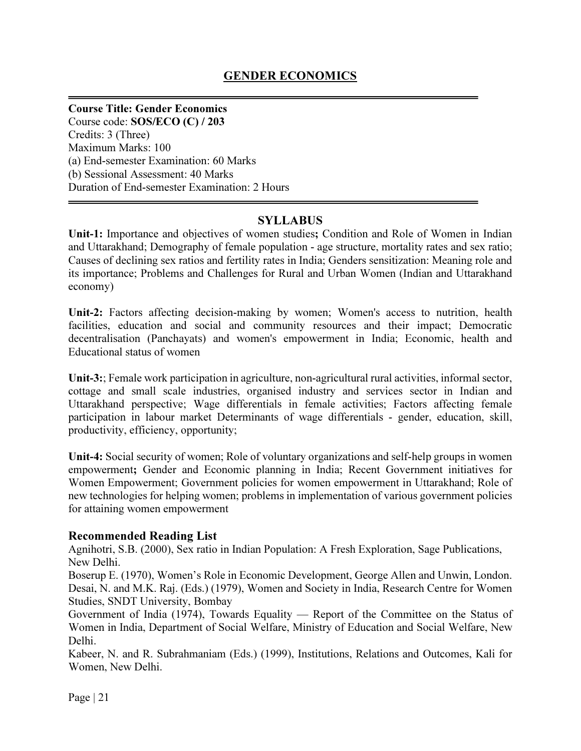# Course Title: Gender Economics

Course code: SOS/ECO (C) / 203 Credits: 3 (Three) Maximum Marks: 100 (a) End-semester Examination: 60 Marks (b) Sessional Assessment: 40 Marks Duration of End-semester Examination: 2 Hours

# **SYLLABUS**

Unit-1: Importance and objectives of women studies; Condition and Role of Women in Indian and Uttarakhand; Demography of female population - age structure, mortality rates and sex ratio; Causes of declining sex ratios and fertility rates in India; Genders sensitization: Meaning role and its importance; Problems and Challenges for Rural and Urban Women (Indian and Uttarakhand economy)

Unit-2: Factors affecting decision-making by women; Women's access to nutrition, health facilities, education and social and community resources and their impact; Democratic decentralisation (Panchayats) and women's empowerment in India; Economic, health and Educational status of women

Unit-3:; Female work participation in agriculture, non-agricultural rural activities, informal sector, cottage and small scale industries, organised industry and services sector in Indian and Uttarakhand perspective; Wage differentials in female activities; Factors affecting female participation in labour market Determinants of wage differentials - gender, education, skill, productivity, efficiency, opportunity;

Unit-4: Social security of women; Role of voluntary organizations and self-help groups in women empowerment; Gender and Economic planning in India; Recent Government initiatives for Women Empowerment; Government policies for women empowerment in Uttarakhand; Role of new technologies for helping women; problems in implementation of various government policies for attaining women empowerment

# Recommended Reading List

Agnihotri, S.B. (2000), Sex ratio in Indian Population: A Fresh Exploration, Sage Publications, New Delhi.

Boserup E. (1970), Women's Role in Economic Development, George Allen and Unwin, London. Desai, N. and M.K. Raj. (Eds.) (1979), Women and Society in India, Research Centre for Women Studies, SNDT University, Bombay

Government of India (1974), Towards Equality — Report of the Committee on the Status of Women in India, Department of Social Welfare, Ministry of Education and Social Welfare, New Delhi.

Kabeer, N. and R. Subrahmaniam (Eds.) (1999), Institutions, Relations and Outcomes, Kali for Women, New Delhi.

Page | 21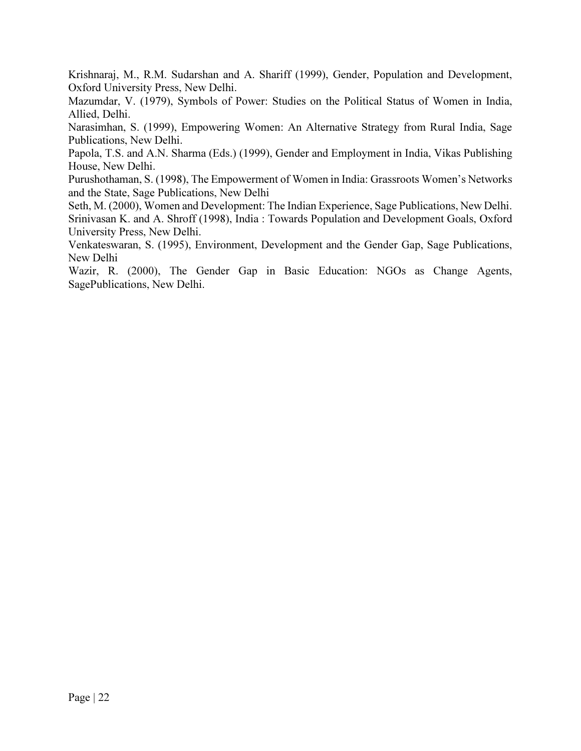Krishnaraj, M., R.M. Sudarshan and A. Shariff (1999), Gender, Population and Development, Oxford University Press, New Delhi.

Mazumdar, V. (1979), Symbols of Power: Studies on the Political Status of Women in India, Allied, Delhi.

Narasimhan, S. (1999), Empowering Women: An Alternative Strategy from Rural India, Sage Publications, New Delhi.

Papola, T.S. and A.N. Sharma (Eds.) (1999), Gender and Employment in India, Vikas Publishing House, New Delhi.

Purushothaman, S. (1998), The Empowerment of Women in India: Grassroots Women's Networks and the State, Sage Publications, New Delhi

Seth, M. (2000), Women and Development: The Indian Experience, Sage Publications, New Delhi. Srinivasan K. and A. Shroff (1998), India : Towards Population and Development Goals, Oxford University Press, New Delhi.

Venkateswaran, S. (1995), Environment, Development and the Gender Gap, Sage Publications, New Delhi

Wazir, R. (2000), The Gender Gap in Basic Education: NGOs as Change Agents, SagePublications, New Delhi.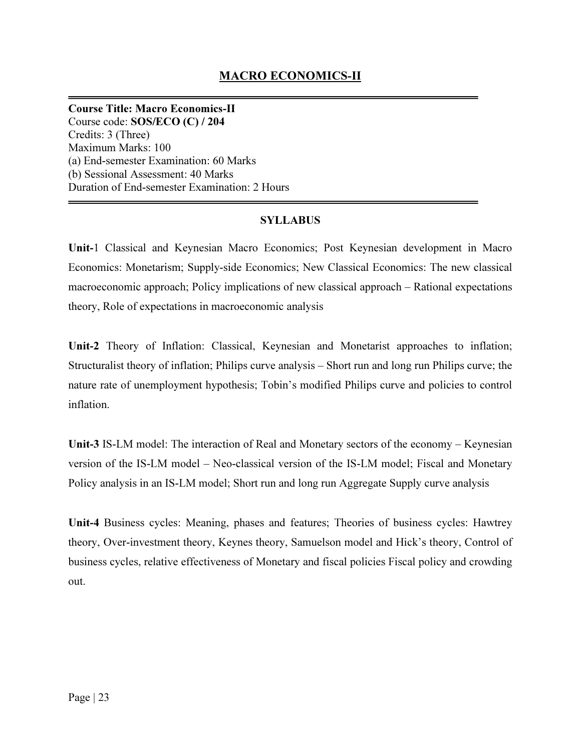Course Title: Macro Economics-II Course code: SOS/ECO (C) / 204 Credits: 3 (Three) Maximum Marks: 100 (a) End-semester Examination: 60 Marks (b) Sessional Assessment: 40 Marks Duration of End-semester Examination: 2 Hours

# SYLLABUS

Unit-1 Classical and Keynesian Macro Economics; Post Keynesian development in Macro Economics: Monetarism; Supply-side Economics; New Classical Economics: The new classical macroeconomic approach; Policy implications of new classical approach – Rational expectations theory, Role of expectations in macroeconomic analysis

Unit-2 Theory of Inflation: Classical, Keynesian and Monetarist approaches to inflation; Structuralist theory of inflation; Philips curve analysis – Short run and long run Philips curve; the nature rate of unemployment hypothesis; Tobin's modified Philips curve and policies to control inflation.

Unit-3 IS-LM model: The interaction of Real and Monetary sectors of the economy – Keynesian version of the IS-LM model – Neo-classical version of the IS-LM model; Fiscal and Monetary Policy analysis in an IS-LM model; Short run and long run Aggregate Supply curve analysis

Unit-4 Business cycles: Meaning, phases and features; Theories of business cycles: Hawtrey theory, Over-investment theory, Keynes theory, Samuelson model and Hick's theory, Control of business cycles, relative effectiveness of Monetary and fiscal policies Fiscal policy and crowding out.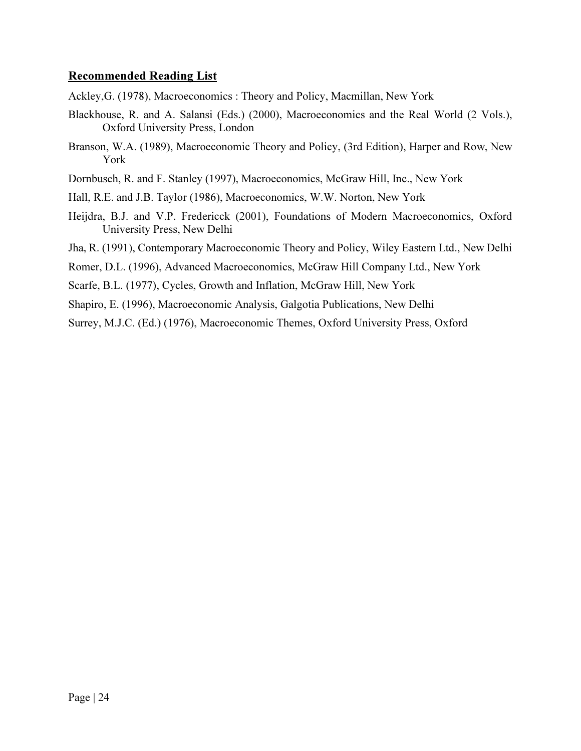### Recommended Reading List

Ackley,G. (1978), Macroeconomics : Theory and Policy, Macmillan, New York

- Blackhouse, R. and A. Salansi (Eds.) (2000), Macroeconomics and the Real World (2 Vols.), Oxford University Press, London
- Branson, W.A. (1989), Macroeconomic Theory and Policy, (3rd Edition), Harper and Row, New York
- Dornbusch, R. and F. Stanley (1997), Macroeconomics, McGraw Hill, Inc., New York
- Hall, R.E. and J.B. Taylor (1986), Macroeconomics, W.W. Norton, New York
- Heijdra, B.J. and V.P. Fredericck (2001), Foundations of Modern Macroeconomics, Oxford University Press, New Delhi
- Jha, R. (1991), Contemporary Macroeconomic Theory and Policy, Wiley Eastern Ltd., New Delhi
- Romer, D.L. (1996), Advanced Macroeconomics, McGraw Hill Company Ltd., New York
- Scarfe, B.L. (1977), Cycles, Growth and Inflation, McGraw Hill, New York
- Shapiro, E. (1996), Macroeconomic Analysis, Galgotia Publications, New Delhi
- Surrey, M.J.C. (Ed.) (1976), Macroeconomic Themes, Oxford University Press, Oxford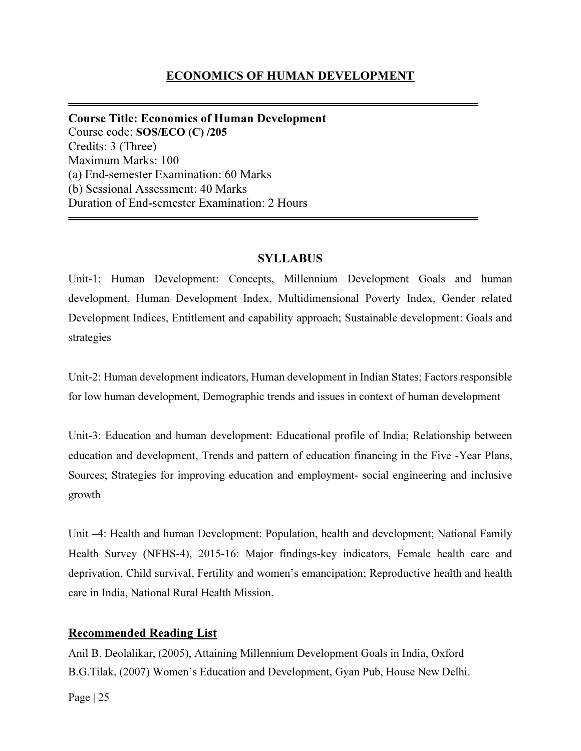Course Title: Economics of Human Development Course code: SOS/ECO (C) /205 Credits: 3 (Three) Maximum Marks: 100 (a) End-semester Examination: 60 Marks (b) Sessional Assessment: 40 Marks Duration of End-semester Examination: 2 Hours

# **SYLLABUS**

Unit-1: Human Development: Concepts, Millennium Development Goals and human development, Human Development Index, Multidimensional Poverty Index, Gender related Development Indices, Entitlement and capability approach; Sustainable development: Goals and strategies

Unit-2: Human development indicators, Human development in Indian States; Factors responsible for low human development, Demographic trends and issues in context of human development

Unit-3: Education and human development: Educational profile of India; Relationship between education and development, Trends and pattern of education financing in the Five -Year Plans, Sources; Strategies for improving education and employment- social engineering and inclusive growth

Unit –4: Health and human Development: Population, health and development; National Family Health Survey (NFHS-4), 2015-16: Major findings-key indicators, Female health care and deprivation, Child survival, Fertility and women's emancipation; Reproductive health and health care in India, National Rural Health Mission.

# Recommended Reading List

Anil B. Deolalikar, (2005), Attaining Millennium Development Goals in India, Oxford B.G.Tilak, (2007) Women's Education and Development, Gyan Pub, House New Delhi.

Page  $|25|$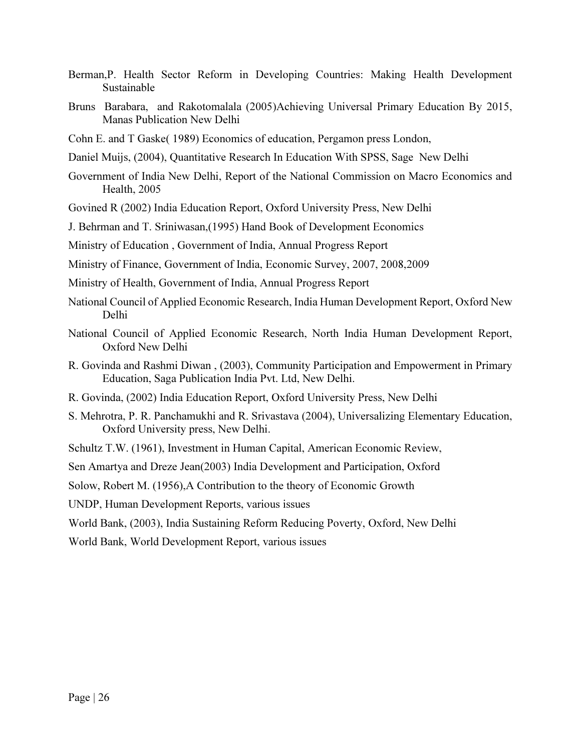- Berman,P. Health Sector Reform in Developing Countries: Making Health Development Sustainable
- Bruns Barabara, and Rakotomalala (2005)Achieving Universal Primary Education By 2015, Manas Publication New Delhi
- Cohn E. and T Gaske( 1989) Economics of education, Pergamon press London,
- Daniel Muijs, (2004), Quantitative Research In Education With SPSS, Sage New Delhi
- Government of India New Delhi, Report of the National Commission on Macro Economics and Health, 2005
- Govined R (2002) India Education Report, Oxford University Press, New Delhi

J. Behrman and T. Sriniwasan,(1995) Hand Book of Development Economics

Ministry of Education , Government of India, Annual Progress Report

Ministry of Finance, Government of India, Economic Survey, 2007, 2008,2009

- Ministry of Health, Government of India, Annual Progress Report
- National Council of Applied Economic Research, India Human Development Report, Oxford New Delhi
- National Council of Applied Economic Research, North India Human Development Report, Oxford New Delhi
- R. Govinda and Rashmi Diwan , (2003), Community Participation and Empowerment in Primary Education, Saga Publication India Pvt. Ltd, New Delhi.
- R. Govinda, (2002) India Education Report, Oxford University Press, New Delhi
- S. Mehrotra, P. R. Panchamukhi and R. Srivastava (2004), Universalizing Elementary Education, Oxford University press, New Delhi.
- Schultz T.W. (1961), Investment in Human Capital, American Economic Review,

Sen Amartya and Dreze Jean(2003) India Development and Participation, Oxford

Solow, Robert M. (1956),A Contribution to the theory of Economic Growth

UNDP, Human Development Reports, various issues

World Bank, (2003), India Sustaining Reform Reducing Poverty, Oxford, New Delhi

World Bank, World Development Report, various issues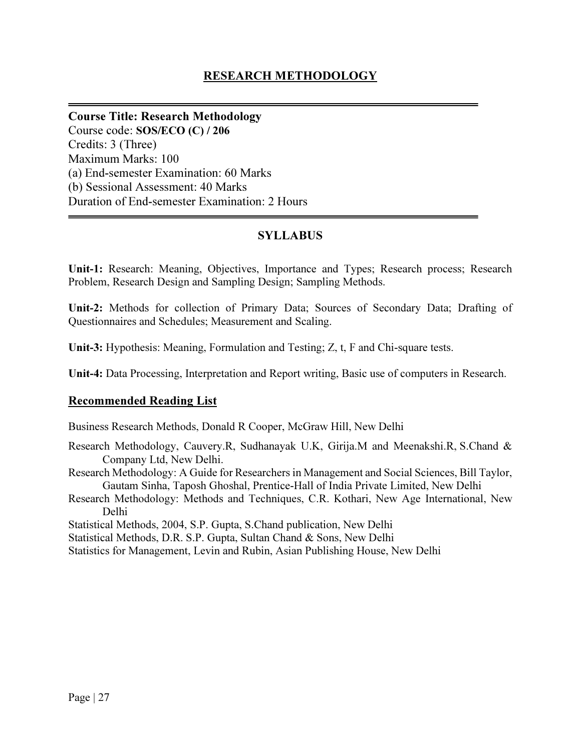# RESEARCH METHODOLOGY

Course Title: Research Methodology Course code: SOS/ECO (C) / 206 Credits: 3 (Three) Maximum Marks: 100 (a) End-semester Examination: 60 Marks (b) Sessional Assessment: 40 Marks Duration of End-semester Examination: 2 Hours

# **SYLLABUS**

Unit-1: Research: Meaning, Objectives, Importance and Types; Research process; Research Problem, Research Design and Sampling Design; Sampling Methods.

Unit-2: Methods for collection of Primary Data; Sources of Secondary Data; Drafting of Questionnaires and Schedules; Measurement and Scaling.

Unit-3: Hypothesis: Meaning, Formulation and Testing; Z, t, F and Chi-square tests.

Unit-4: Data Processing, Interpretation and Report writing, Basic use of computers in Research.

### Recommended Reading List

Business Research Methods, Donald R Cooper, McGraw Hill, New Delhi

- Research Methodology, Cauvery.R, Sudhanayak U.K, Girija.M and Meenakshi.R, S.Chand & Company Ltd, New Delhi.
- Research Methodology: A Guide for Researchers in Management and Social Sciences, Bill Taylor, Gautam Sinha, Taposh Ghoshal, Prentice-Hall of India Private Limited, New Delhi
- Research Methodology: Methods and Techniques, C.R. Kothari, New Age International, New Delhi

Statistical Methods, 2004, S.P. Gupta, S.Chand publication, New Delhi

Statistical Methods, D.R. S.P. Gupta, Sultan Chand & Sons, New Delhi

Statistics for Management, Levin and Rubin, Asian Publishing House, New Delhi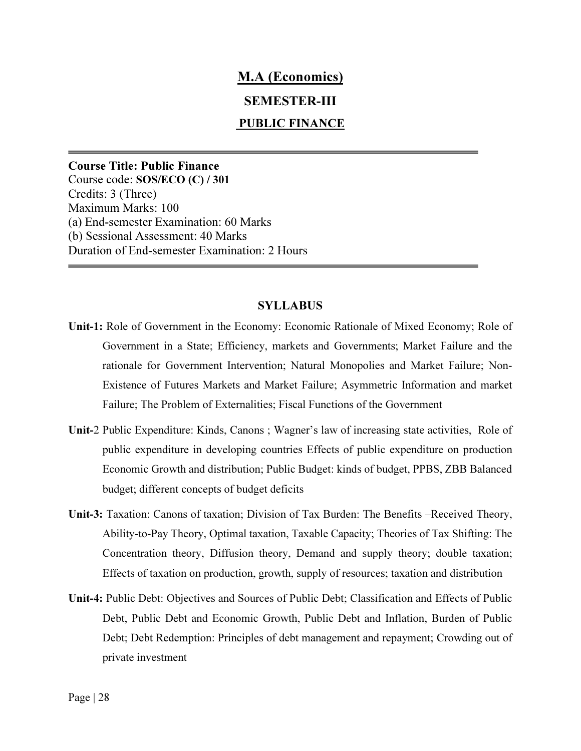# M.A (Economics)

# SEMESTER-III

## PUBLIC FINANCE

Course Title: Public Finance Course code: SOS/ECO (C) / 301 Credits: 3 (Three) Maximum Marks: 100 (a) End-semester Examination: 60 Marks (b) Sessional Assessment: 40 Marks Duration of End-semester Examination: 2 Hours

#### SYLLABUS

- Unit-1: Role of Government in the Economy: Economic Rationale of Mixed Economy; Role of Government in a State; Efficiency, markets and Governments; Market Failure and the rationale for Government Intervention; Natural Monopolies and Market Failure; Non-Existence of Futures Markets and Market Failure; Asymmetric Information and market Failure; The Problem of Externalities; Fiscal Functions of the Government
- Unit-2 Public Expenditure: Kinds, Canons ; Wagner's law of increasing state activities, Role of public expenditure in developing countries Effects of public expenditure on production Economic Growth and distribution; Public Budget: kinds of budget, PPBS, ZBB Balanced budget; different concepts of budget deficits
- Unit-3: Taxation: Canons of taxation; Division of Tax Burden: The Benefits –Received Theory, Ability-to-Pay Theory, Optimal taxation, Taxable Capacity; Theories of Tax Shifting: The Concentration theory, Diffusion theory, Demand and supply theory; double taxation; Effects of taxation on production, growth, supply of resources; taxation and distribution
- Unit-4: Public Debt: Objectives and Sources of Public Debt; Classification and Effects of Public Debt, Public Debt and Economic Growth, Public Debt and Inflation, Burden of Public Debt; Debt Redemption: Principles of debt management and repayment; Crowding out of private investment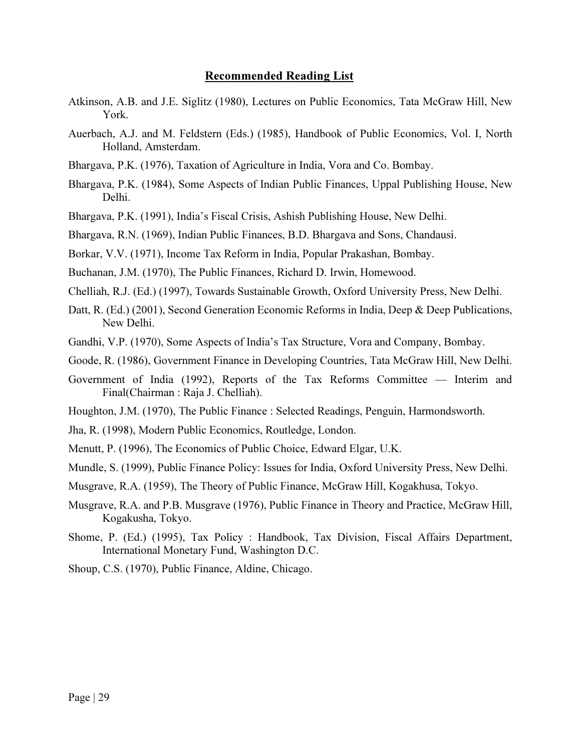#### Recommended Reading List

- Atkinson, A.B. and J.E. Siglitz (1980), Lectures on Public Economics, Tata McGraw Hill, New York.
- Auerbach, A.J. and M. Feldstern (Eds.) (1985), Handbook of Public Economics, Vol. I, North Holland, Amsterdam.
- Bhargava, P.K. (1976), Taxation of Agriculture in India, Vora and Co. Bombay.
- Bhargava, P.K. (1984), Some Aspects of Indian Public Finances, Uppal Publishing House, New Delhi.
- Bhargava, P.K. (1991), India's Fiscal Crisis, Ashish Publishing House, New Delhi.
- Bhargava, R.N. (1969), Indian Public Finances, B.D. Bhargava and Sons, Chandausi.

Borkar, V.V. (1971), Income Tax Reform in India, Popular Prakashan, Bombay.

- Buchanan, J.M. (1970), The Public Finances, Richard D. Irwin, Homewood.
- Chelliah, R.J. (Ed.) (1997), Towards Sustainable Growth, Oxford University Press, New Delhi.
- Datt, R. (Ed.) (2001), Second Generation Economic Reforms in India, Deep & Deep Publications, New Delhi.
- Gandhi, V.P. (1970), Some Aspects of India's Tax Structure, Vora and Company, Bombay.
- Goode, R. (1986), Government Finance in Developing Countries, Tata McGraw Hill, New Delhi.
- Government of India (1992), Reports of the Tax Reforms Committee Interim and Final(Chairman : Raja J. Chelliah).
- Houghton, J.M. (1970), The Public Finance : Selected Readings, Penguin, Harmondsworth.
- Jha, R. (1998), Modern Public Economics, Routledge, London.
- Menutt, P. (1996), The Economics of Public Choice, Edward Elgar, U.K.
- Mundle, S. (1999), Public Finance Policy: Issues for India, Oxford University Press, New Delhi.
- Musgrave, R.A. (1959), The Theory of Public Finance, McGraw Hill, Kogakhusa, Tokyo.
- Musgrave, R.A. and P.B. Musgrave (1976), Public Finance in Theory and Practice, McGraw Hill, Kogakusha, Tokyo.
- Shome, P. (Ed.) (1995), Tax Policy : Handbook, Tax Division, Fiscal Affairs Department, International Monetary Fund, Washington D.C.

Shoup, C.S. (1970), Public Finance, Aldine, Chicago.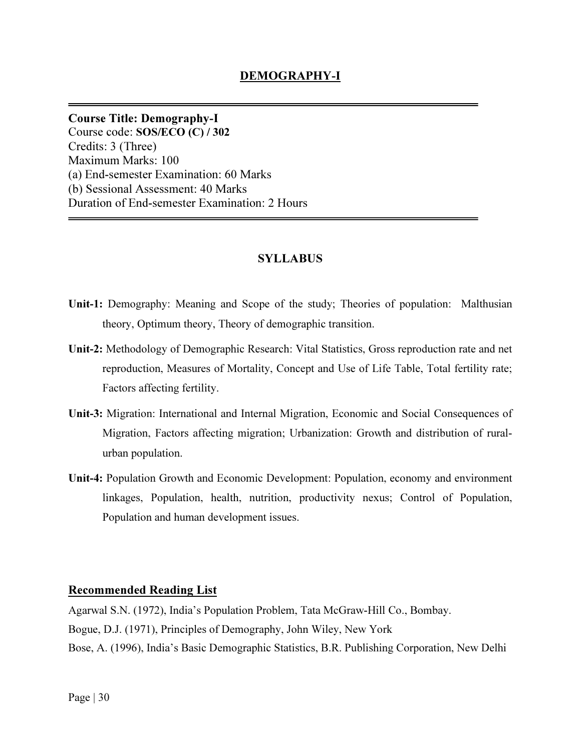Course Title: Demography-I Course code: SOS/ECO (C) / 302 Credits: 3 (Three) Maximum Marks: 100 (a) End-semester Examination: 60 Marks (b) Sessional Assessment: 40 Marks Duration of End-semester Examination: 2 Hours

# SYLLABUS

- Unit-1: Demography: Meaning and Scope of the study; Theories of population: Malthusian theory, Optimum theory, Theory of demographic transition.
- Unit-2: Methodology of Demographic Research: Vital Statistics, Gross reproduction rate and net reproduction, Measures of Mortality, Concept and Use of Life Table, Total fertility rate; Factors affecting fertility.
- Unit-3: Migration: International and Internal Migration, Economic and Social Consequences of Migration, Factors affecting migration; Urbanization: Growth and distribution of ruralurban population.
- Unit-4: Population Growth and Economic Development: Population, economy and environment linkages, Population, health, nutrition, productivity nexus; Control of Population, Population and human development issues.

### Recommended Reading List

Agarwal S.N. (1972), India's Population Problem, Tata McGraw-Hill Co., Bombay. Bogue, D.J. (1971), Principles of Demography, John Wiley, New York Bose, A. (1996), India's Basic Demographic Statistics, B.R. Publishing Corporation, New Delhi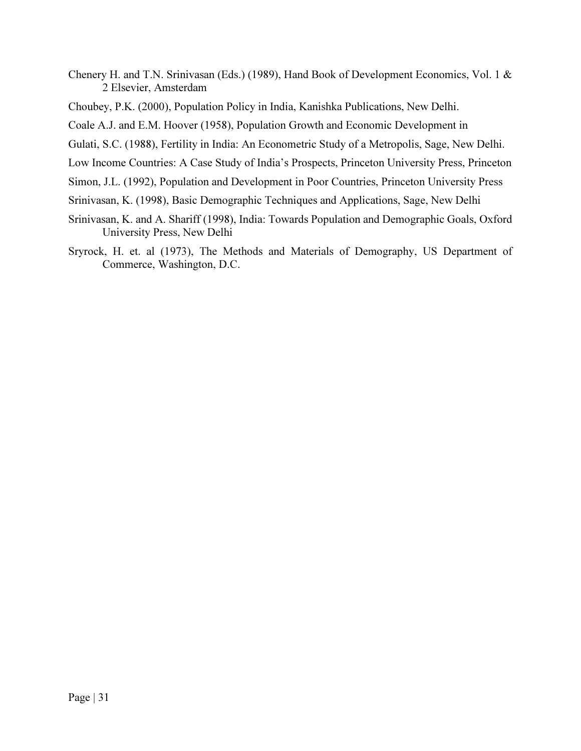- Chenery H. and T.N. Srinivasan (Eds.) (1989), Hand Book of Development Economics, Vol. 1 & 2 Elsevier, Amsterdam
- Choubey, P.K. (2000), Population Policy in India, Kanishka Publications, New Delhi.
- Coale A.J. and E.M. Hoover (1958), Population Growth and Economic Development in
- Gulati, S.C. (1988), Fertility in India: An Econometric Study of a Metropolis, Sage, New Delhi.
- Low Income Countries: A Case Study of India's Prospects, Princeton University Press, Princeton
- Simon, J.L. (1992), Population and Development in Poor Countries, Princeton University Press
- Srinivasan, K. (1998), Basic Demographic Techniques and Applications, Sage, New Delhi
- Srinivasan, K. and A. Shariff (1998), India: Towards Population and Demographic Goals, Oxford University Press, New Delhi
- Sryrock, H. et. al (1973), The Methods and Materials of Demography, US Department of Commerce, Washington, D.C.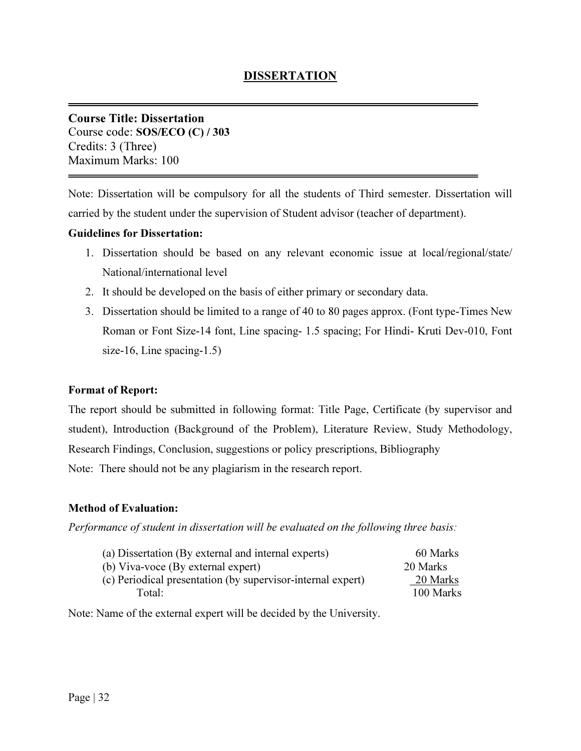Course Title: Dissertation Course code: SOS/ECO (C) / 303 Credits: 3 (Three) Maximum Marks: 100

Note: Dissertation will be compulsory for all the students of Third semester. Dissertation will carried by the student under the supervision of Student advisor (teacher of department).

## Guidelines for Dissertation:

- 1. Dissertation should be based on any relevant economic issue at local/regional/state/ National/international level
- 2. It should be developed on the basis of either primary or secondary data.
- 3. Dissertation should be limited to a range of 40 to 80 pages approx. (Font type-Times New Roman or Font Size-14 font, Line spacing- 1.5 spacing; For Hindi- Kruti Dev-010, Font size-16, Line spacing-1.5)

### Format of Report:

The report should be submitted in following format: Title Page, Certificate (by supervisor and student), Introduction (Background of the Problem), Literature Review, Study Methodology, Research Findings, Conclusion, suggestions or policy prescriptions, Bibliography Note: There should not be any plagiarism in the research report.

# Method of Evaluation:

Performance of student in dissertation will be evaluated on the following three basis:

| (a) Dissertation (By external and internal experts)         | 60 Marks  |
|-------------------------------------------------------------|-----------|
| (b) Viva-voce (By external expert)                          | 20 Marks  |
| (c) Periodical presentation (by supervisor-internal expert) | 20 Marks  |
| Total:                                                      | 100 Marks |

Note: Name of the external expert will be decided by the University.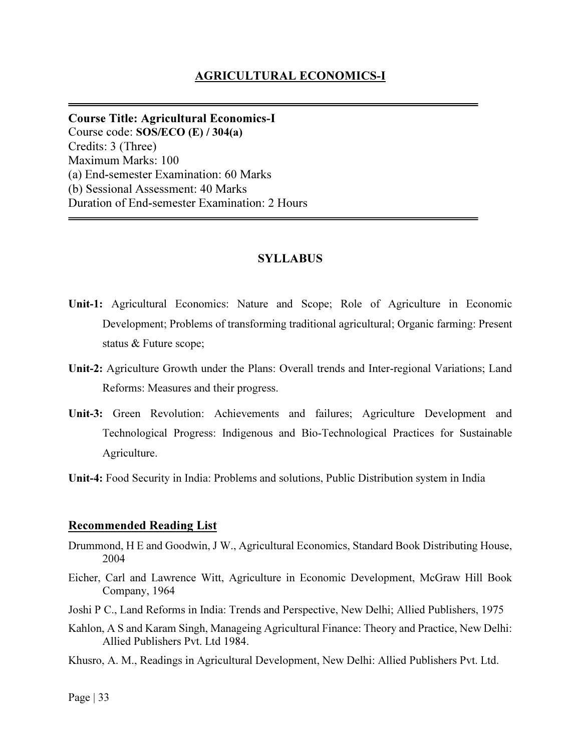## AGRICULTURAL ECONOMICS-I

Course Title: Agricultural Economics-I Course code: SOS/ECO (E) / 304(a) Credits: 3 (Three) Maximum Marks: 100 (a) End-semester Examination: 60 Marks (b) Sessional Assessment: 40 Marks Duration of End-semester Examination: 2 Hours

#### SYLLABUS

- Unit-1: Agricultural Economics: Nature and Scope; Role of Agriculture in Economic Development; Problems of transforming traditional agricultural; Organic farming: Present status & Future scope;
- Unit-2: Agriculture Growth under the Plans: Overall trends and Inter-regional Variations; Land Reforms: Measures and their progress.
- Unit-3: Green Revolution: Achievements and failures; Agriculture Development and Technological Progress: Indigenous and Bio-Technological Practices for Sustainable Agriculture.
- Unit-4: Food Security in India: Problems and solutions, Public Distribution system in India

#### Recommended Reading List

- Drummond, H E and Goodwin, J W., Agricultural Economics, Standard Book Distributing House, 2004
- Eicher, Carl and Lawrence Witt, Agriculture in Economic Development, McGraw Hill Book Company, 1964
- Joshi P C., Land Reforms in India: Trends and Perspective, New Delhi; Allied Publishers, 1975
- Kahlon, A S and Karam Singh, Manageing Agricultural Finance: Theory and Practice, New Delhi: Allied Publishers Pvt. Ltd 1984.
- Khusro, A. M., Readings in Agricultural Development, New Delhi: Allied Publishers Pvt. Ltd.

Page  $|33|$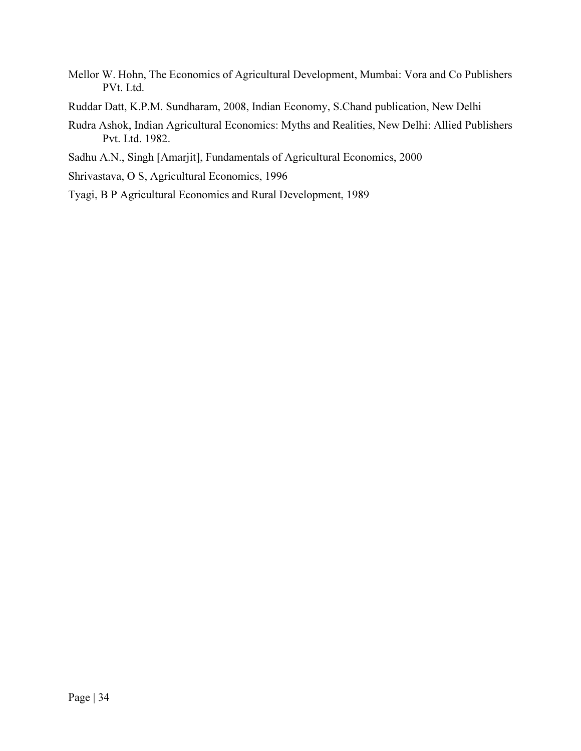- Mellor W. Hohn, The Economics of Agricultural Development, Mumbai: Vora and Co Publishers PVt. Ltd.
- Ruddar Datt, K.P.M. Sundharam, 2008, Indian Economy, S.Chand publication, New Delhi
- Rudra Ashok, Indian Agricultural Economics: Myths and Realities, New Delhi: Allied Publishers Pvt. Ltd. 1982.
- Sadhu A.N., Singh [Amarjit], Fundamentals of Agricultural Economics, 2000
- Shrivastava, O S, Agricultural Economics, 1996
- Tyagi, B P Agricultural Economics and Rural Development, 1989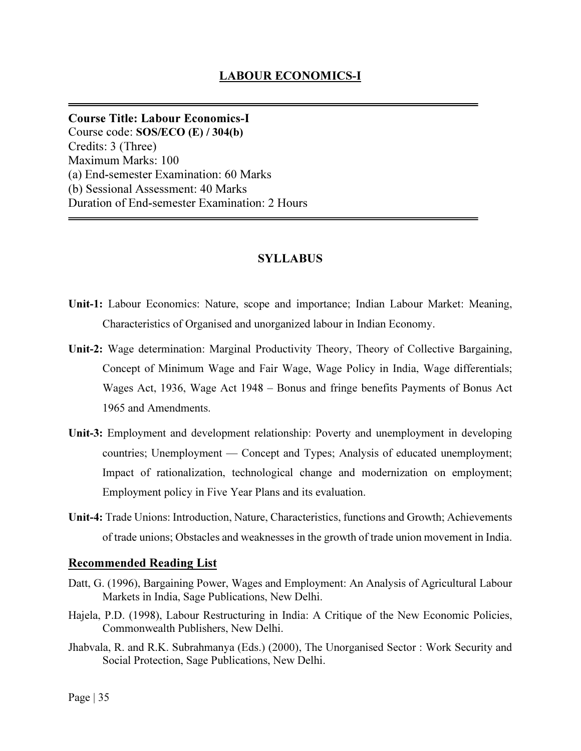Course Title: Labour Economics-I Course code: SOS/ECO (E) / 304(b) Credits: 3 (Three) Maximum Marks: 100 (a) End-semester Examination: 60 Marks (b) Sessional Assessment: 40 Marks Duration of End-semester Examination: 2 Hours

## SYLLABUS

- Unit-1: Labour Economics: Nature, scope and importance; Indian Labour Market: Meaning, Characteristics of Organised and unorganized labour in Indian Economy.
- Unit-2: Wage determination: Marginal Productivity Theory, Theory of Collective Bargaining, Concept of Minimum Wage and Fair Wage, Wage Policy in India, Wage differentials; Wages Act, 1936, Wage Act 1948 – Bonus and fringe benefits Payments of Bonus Act 1965 and Amendments.
- Unit-3: Employment and development relationship: Poverty and unemployment in developing countries; Unemployment — Concept and Types; Analysis of educated unemployment; Impact of rationalization, technological change and modernization on employment; Employment policy in Five Year Plans and its evaluation.
- Unit-4: Trade Unions: Introduction, Nature, Characteristics, functions and Growth; Achievements of trade unions; Obstacles and weaknesses in the growth of trade union movement in India.

#### Recommended Reading List

- Datt, G. (1996), Bargaining Power, Wages and Employment: An Analysis of Agricultural Labour Markets in India, Sage Publications, New Delhi.
- Hajela, P.D. (1998), Labour Restructuring in India: A Critique of the New Economic Policies, Commonwealth Publishers, New Delhi.
- Jhabvala, R. and R.K. Subrahmanya (Eds.) (2000), The Unorganised Sector : Work Security and Social Protection, Sage Publications, New Delhi.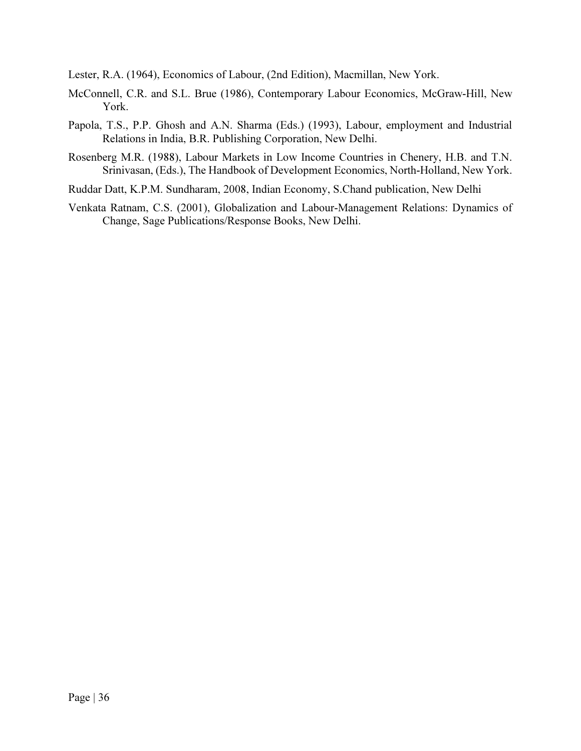Lester, R.A. (1964), Economics of Labour, (2nd Edition), Macmillan, New York.

- McConnell, C.R. and S.L. Brue (1986), Contemporary Labour Economics, McGraw-Hill, New York.
- Papola, T.S., P.P. Ghosh and A.N. Sharma (Eds.) (1993), Labour, employment and Industrial Relations in India, B.R. Publishing Corporation, New Delhi.
- Rosenberg M.R. (1988), Labour Markets in Low Income Countries in Chenery, H.B. and T.N. Srinivasan, (Eds.), The Handbook of Development Economics, North-Holland, New York.
- Ruddar Datt, K.P.M. Sundharam, 2008, Indian Economy, S.Chand publication, New Delhi
- Venkata Ratnam, C.S. (2001), Globalization and Labour-Management Relations: Dynamics of Change, Sage Publications/Response Books, New Delhi.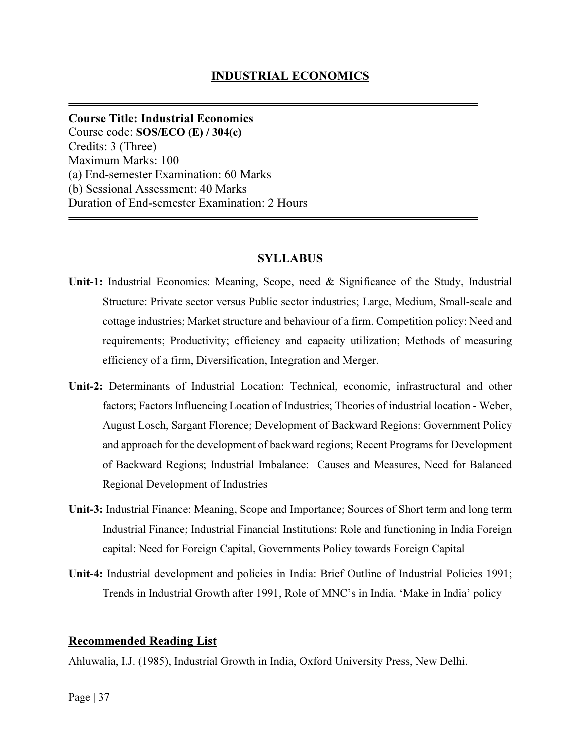Course Title: Industrial Economics Course code: SOS/ECO (E) / 304(c) Credits: 3 (Three) Maximum Marks: 100 (a) End-semester Examination: 60 Marks (b) Sessional Assessment: 40 Marks Duration of End-semester Examination: 2 Hours

#### **SYLLABUS**

- Unit-1: Industrial Economics: Meaning, Scope, need & Significance of the Study, Industrial Structure: Private sector versus Public sector industries; Large, Medium, Small-scale and cottage industries; Market structure and behaviour of a firm. Competition policy: Need and requirements; Productivity; efficiency and capacity utilization; Methods of measuring efficiency of a firm, Diversification, Integration and Merger.
- Unit-2: Determinants of Industrial Location: Technical, economic, infrastructural and other factors; Factors Influencing Location of Industries; Theories of industrial location - Weber, August Losch, Sargant Florence; Development of Backward Regions: Government Policy and approach for the development of backward regions; Recent Programs for Development of Backward Regions; Industrial Imbalance: Causes and Measures, Need for Balanced Regional Development of Industries
- Unit-3: Industrial Finance: Meaning, Scope and Importance; Sources of Short term and long term Industrial Finance; Industrial Financial Institutions: Role and functioning in India Foreign capital: Need for Foreign Capital, Governments Policy towards Foreign Capital
- Unit-4: Industrial development and policies in India: Brief Outline of Industrial Policies 1991; Trends in Industrial Growth after 1991, Role of MNC's in India. 'Make in India' policy

#### Recommended Reading List

Ahluwalia, I.J. (1985), Industrial Growth in India, Oxford University Press, New Delhi.

#### Page | 37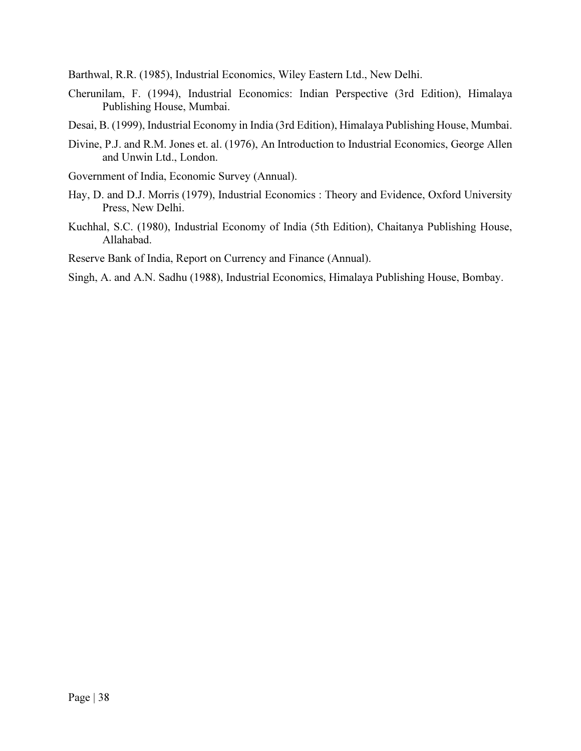Barthwal, R.R. (1985), Industrial Economics, Wiley Eastern Ltd., New Delhi.

- Cherunilam, F. (1994), Industrial Economics: Indian Perspective (3rd Edition), Himalaya Publishing House, Mumbai.
- Desai, B. (1999), Industrial Economy in India (3rd Edition), Himalaya Publishing House, Mumbai.
- Divine, P.J. and R.M. Jones et. al. (1976), An Introduction to Industrial Economics, George Allen and Unwin Ltd., London.
- Government of India, Economic Survey (Annual).
- Hay, D. and D.J. Morris (1979), Industrial Economics : Theory and Evidence, Oxford University Press, New Delhi.
- Kuchhal, S.C. (1980), Industrial Economy of India (5th Edition), Chaitanya Publishing House, Allahabad.

Reserve Bank of India, Report on Currency and Finance (Annual).

Singh, A. and A.N. Sadhu (1988), Industrial Economics, Himalaya Publishing House, Bombay.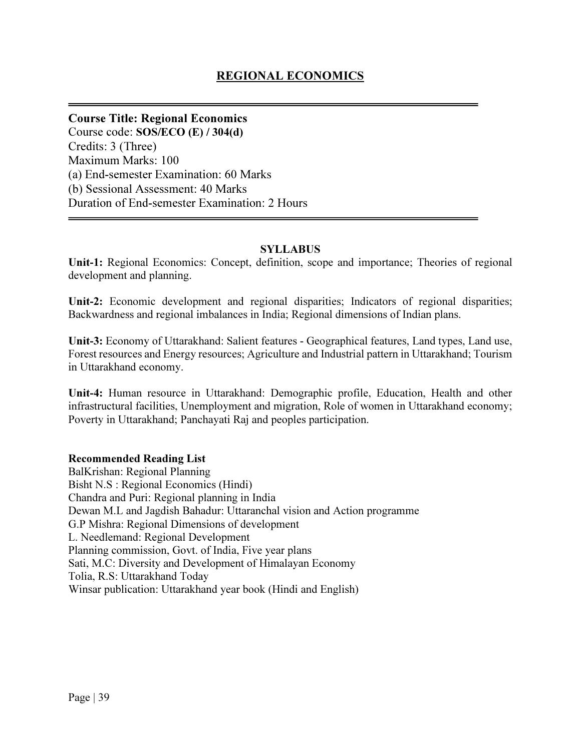Course Title: Regional Economics Course code: SOS/ECO (E) / 304(d) Credits: 3 (Three) Maximum Marks: 100 (a) End-semester Examination: 60 Marks (b) Sessional Assessment: 40 Marks Duration of End-semester Examination: 2 Hours

### **SYLLABUS**

Unit-1: Regional Economics: Concept, definition, scope and importance; Theories of regional development and planning.

Unit-2: Economic development and regional disparities; Indicators of regional disparities; Backwardness and regional imbalances in India; Regional dimensions of Indian plans.

Unit-3: Economy of Uttarakhand: Salient features - Geographical features, Land types, Land use, Forest resources and Energy resources; Agriculture and Industrial pattern in Uttarakhand; Tourism in Uttarakhand economy.

Unit-4: Human resource in Uttarakhand: Demographic profile, Education, Health and other infrastructural facilities, Unemployment and migration, Role of women in Uttarakhand economy; Poverty in Uttarakhand; Panchayati Raj and peoples participation.

### Recommended Reading List

BalKrishan: Regional Planning Bisht N.S : Regional Economics (Hindi) Chandra and Puri: Regional planning in India Dewan M.L and Jagdish Bahadur: Uttaranchal vision and Action programme G.P Mishra: Regional Dimensions of development L. Needlemand: Regional Development Planning commission, Govt. of India, Five year plans Sati, M.C: Diversity and Development of Himalayan Economy Tolia, R.S: Uttarakhand Today Winsar publication: Uttarakhand year book (Hindi and English)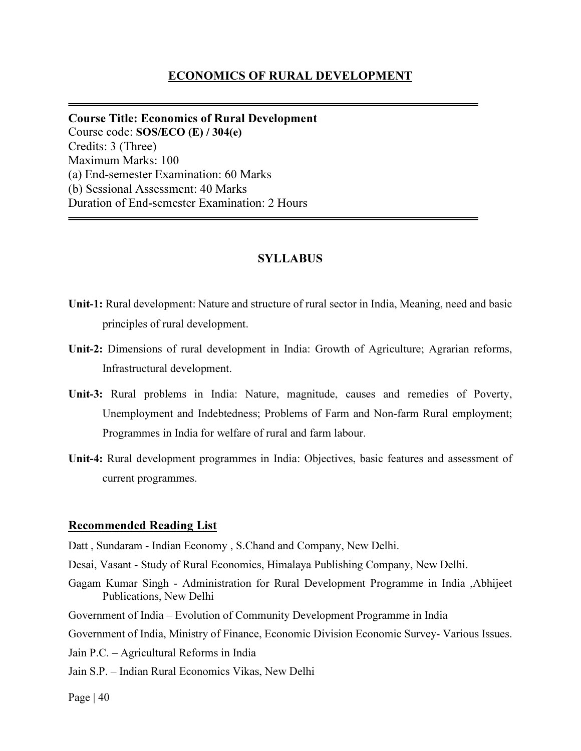### ECONOMICS OF RURAL DEVELOPMENT

Course Title: Economics of Rural Development Course code: SOS/ECO (E) / 304(e) Credits: 3 (Three) Maximum Marks: 100 (a) End-semester Examination: 60 Marks (b) Sessional Assessment: 40 Marks Duration of End-semester Examination: 2 Hours

### SYLLABUS

- Unit-1: Rural development: Nature and structure of rural sector in India, Meaning, need and basic principles of rural development.
- Unit-2: Dimensions of rural development in India: Growth of Agriculture; Agrarian reforms, Infrastructural development.
- Unit-3: Rural problems in India: Nature, magnitude, causes and remedies of Poverty, Unemployment and Indebtedness; Problems of Farm and Non-farm Rural employment; Programmes in India for welfare of rural and farm labour.
- Unit-4: Rural development programmes in India: Objectives, basic features and assessment of current programmes.

#### Recommended Reading List

Datt , Sundaram - Indian Economy , S.Chand and Company, New Delhi.

- Desai, Vasant Study of Rural Economics, Himalaya Publishing Company, New Delhi.
- Gagam Kumar Singh Administration for Rural Development Programme in India ,Abhijeet Publications, New Delhi
- Government of India Evolution of Community Development Programme in India
- Government of India, Ministry of Finance, Economic Division Economic Survey- Various Issues.
- Jain P.C. Agricultural Reforms in India
- Jain S.P. Indian Rural Economics Vikas, New Delhi

Page  $|40$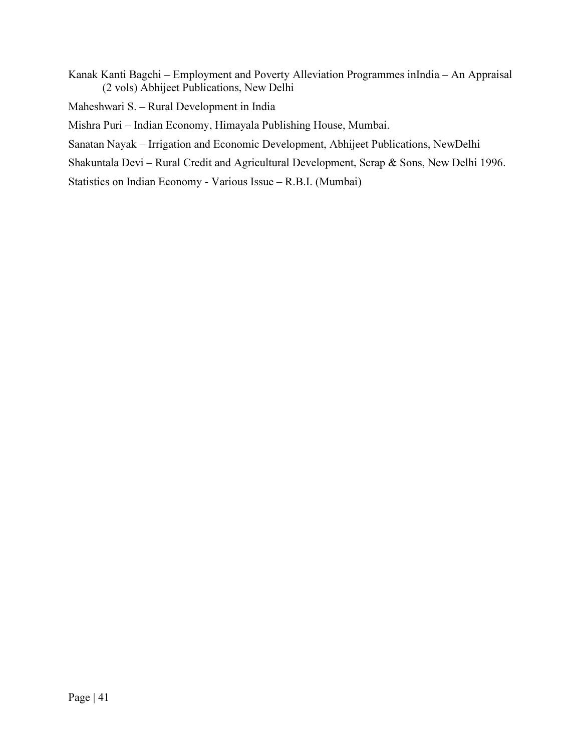Kanak Kanti Bagchi – Employment and Poverty Alleviation Programmes inIndia – An Appraisal (2 vols) Abhijeet Publications, New Delhi

Maheshwari S. – Rural Development in India

Mishra Puri – Indian Economy, Himayala Publishing House, Mumbai.

Sanatan Nayak – Irrigation and Economic Development, Abhijeet Publications, NewDelhi

Shakuntala Devi – Rural Credit and Agricultural Development, Scrap & Sons, New Delhi 1996.

Statistics on Indian Economy - Various Issue – R.B.I. (Mumbai)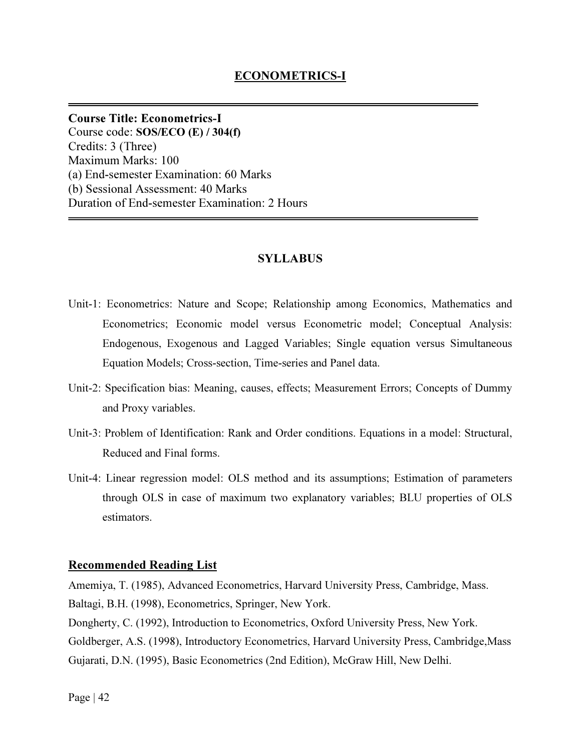Course Title: Econometrics-I Course code: SOS/ECO (E) / 304(f) Credits: 3 (Three) Maximum Marks: 100 (a) End-semester Examination: 60 Marks (b) Sessional Assessment: 40 Marks Duration of End-semester Examination: 2 Hours

### **SYLLABUS**

- Unit-1: Econometrics: Nature and Scope; Relationship among Economics, Mathematics and Econometrics; Economic model versus Econometric model; Conceptual Analysis: Endogenous, Exogenous and Lagged Variables; Single equation versus Simultaneous Equation Models; Cross-section, Time-series and Panel data.
- Unit-2: Specification bias: Meaning, causes, effects; Measurement Errors; Concepts of Dummy and Proxy variables.
- Unit-3: Problem of Identification: Rank and Order conditions. Equations in a model: Structural, Reduced and Final forms.
- Unit-4: Linear regression model: OLS method and its assumptions; Estimation of parameters through OLS in case of maximum two explanatory variables; BLU properties of OLS estimators.

#### Recommended Reading List

Amemiya, T. (1985), Advanced Econometrics, Harvard University Press, Cambridge, Mass. Baltagi, B.H. (1998), Econometrics, Springer, New York.

Dongherty, C. (1992), Introduction to Econometrics, Oxford University Press, New York. Goldberger, A.S. (1998), Introductory Econometrics, Harvard University Press, Cambridge,Mass Gujarati, D.N. (1995), Basic Econometrics (2nd Edition), McGraw Hill, New Delhi.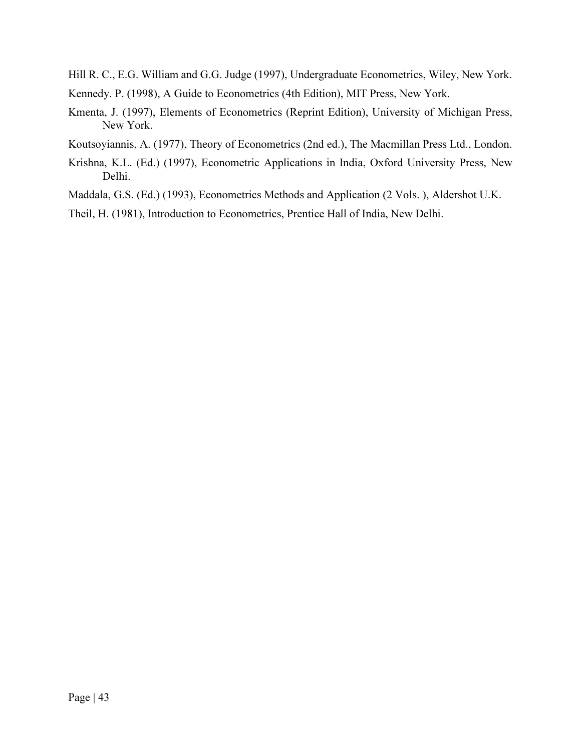Hill R. C., E.G. William and G.G. Judge (1997), Undergraduate Econometrics, Wiley, New York.

Kennedy. P. (1998), A Guide to Econometrics (4th Edition), MIT Press, New York.

- Kmenta, J. (1997), Elements of Econometrics (Reprint Edition), University of Michigan Press, New York.
- Koutsoyiannis, A. (1977), Theory of Econometrics (2nd ed.), The Macmillan Press Ltd., London.
- Krishna, K.L. (Ed.) (1997), Econometric Applications in India, Oxford University Press, New Delhi.
- Maddala, G.S. (Ed.) (1993), Econometrics Methods and Application (2 Vols. ), Aldershot U.K.
- Theil, H. (1981), Introduction to Econometrics, Prentice Hall of India, New Delhi.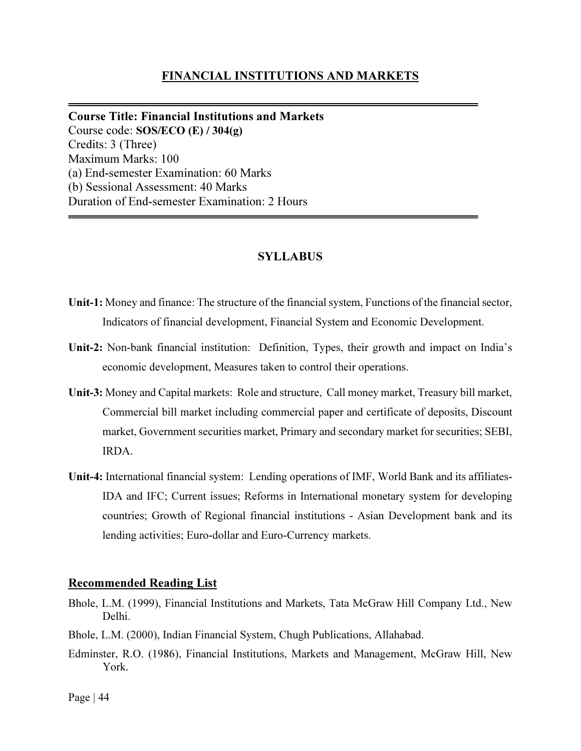### FINANCIAL INSTITUTIONS AND MARKETS

Course Title: Financial Institutions and Markets Course code: SOS/ECO (E) / 304(g) Credits: 3 (Three) Maximum Marks: 100 (a) End-semester Examination: 60 Marks (b) Sessional Assessment: 40 Marks Duration of End-semester Examination: 2 Hours

### SYLLABUS

- Unit-1: Money and finance: The structure of the financial system, Functions of the financial sector, Indicators of financial development, Financial System and Economic Development.
- Unit-2: Non-bank financial institution: Definition, Types, their growth and impact on India's economic development, Measures taken to control their operations.
- Unit-3: Money and Capital markets: Role and structure, Call money market, Treasury bill market, Commercial bill market including commercial paper and certificate of deposits, Discount market, Government securities market, Primary and secondary market for securities; SEBI, IRDA.
- Unit-4: International financial system: Lending operations of IMF, World Bank and its affiliates-IDA and IFC; Current issues; Reforms in International monetary system for developing countries; Growth of Regional financial institutions - Asian Development bank and its lending activities; Euro-dollar and Euro-Currency markets.

#### Recommended Reading List

- Bhole, L.M. (1999), Financial Institutions and Markets, Tata McGraw Hill Company Ltd., New Delhi.
- Bhole, L.M. (2000), Indian Financial System, Chugh Publications, Allahabad.
- Edminster, R.O. (1986), Financial Institutions, Markets and Management, McGraw Hill, New York.

Page  $|44$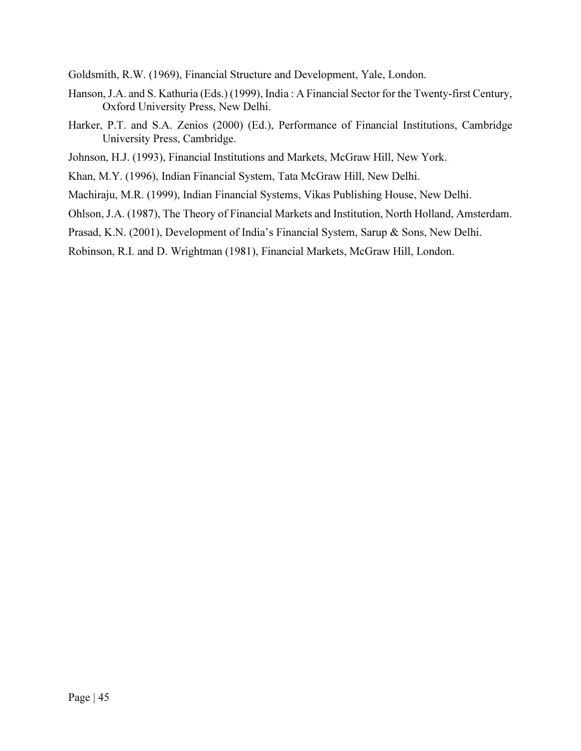Goldsmith, R.W. (1969), Financial Structure and Development, Yale, London.

- Hanson, J.A. and S. Kathuria (Eds.) (1999), India : A Financial Sector for the Twenty-first Century, Oxford University Press, New Delhi.
- Harker, P.T. and S.A. Zenios (2000) (Ed.), Performance of Financial Institutions, Cambridge University Press, Cambridge.
- Johnson, H.J. (1993), Financial Institutions and Markets, McGraw Hill, New York.
- Khan, M.Y. (1996), Indian Financial System, Tata McGraw Hill, New Delhi.
- Machiraju, M.R. (1999), Indian Financial Systems, Vikas Publishing House, New Delhi.
- Ohlson, J.A. (1987), The Theory of Financial Markets and Institution, North Holland, Amsterdam.
- Prasad, K.N. (2001), Development of India's Financial System, Sarup & Sons, New Delhi.
- Robinson, R.I. and D. Wrightman (1981), Financial Markets, McGraw Hill, London.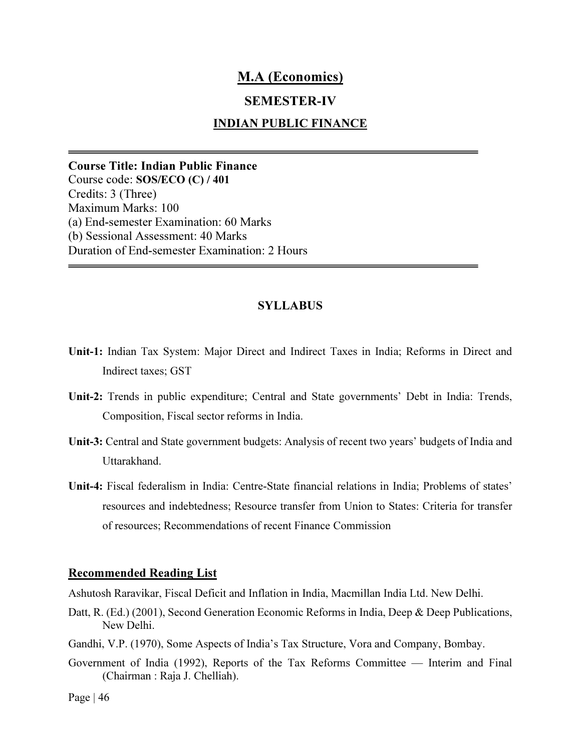# M.A (Economics)

# SEMESTER-IV

## INDIAN PUBLIC FINANCE

Course Title: Indian Public Finance Course code: SOS/ECO (C) / 401 Credits: 3 (Three) Maximum Marks: 100 (a) End-semester Examination: 60 Marks (b) Sessional Assessment: 40 Marks Duration of End-semester Examination: 2 Hours

#### SYLLABUS

- Unit-1: Indian Tax System: Major Direct and Indirect Taxes in India; Reforms in Direct and Indirect taxes; GST
- Unit-2: Trends in public expenditure; Central and State governments' Debt in India: Trends, Composition, Fiscal sector reforms in India.
- Unit-3: Central and State government budgets: Analysis of recent two years' budgets of India and Uttarakhand.
- Unit-4: Fiscal federalism in India: Centre-State financial relations in India; Problems of states' resources and indebtedness; Resource transfer from Union to States: Criteria for transfer of resources; Recommendations of recent Finance Commission

#### Recommended Reading List

Ashutosh Raravikar, Fiscal Deficit and Inflation in India, Macmillan India Ltd. New Delhi.

- Datt, R. (Ed.) (2001), Second Generation Economic Reforms in India, Deep & Deep Publications, New Delhi.
- Gandhi, V.P. (1970), Some Aspects of India's Tax Structure, Vora and Company, Bombay.
- Government of India (1992), Reports of the Tax Reforms Committee Interim and Final (Chairman : Raja J. Chelliah).

Page  $|46$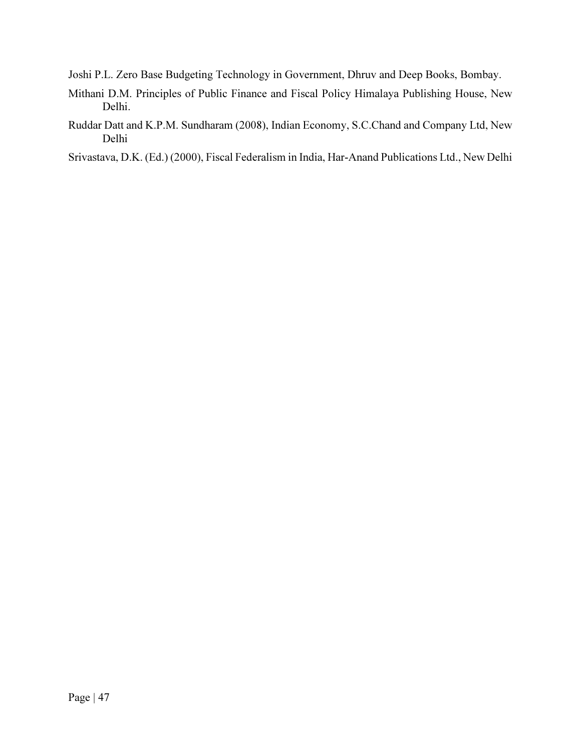Joshi P.L. Zero Base Budgeting Technology in Government, Dhruv and Deep Books, Bombay.

- Mithani D.M. Principles of Public Finance and Fiscal Policy Himalaya Publishing House, New Delhi.
- Ruddar Datt and K.P.M. Sundharam (2008), Indian Economy, S.C.Chand and Company Ltd, New Delhi

Srivastava, D.K. (Ed.) (2000), Fiscal Federalism in India, Har-Anand Publications Ltd., New Delhi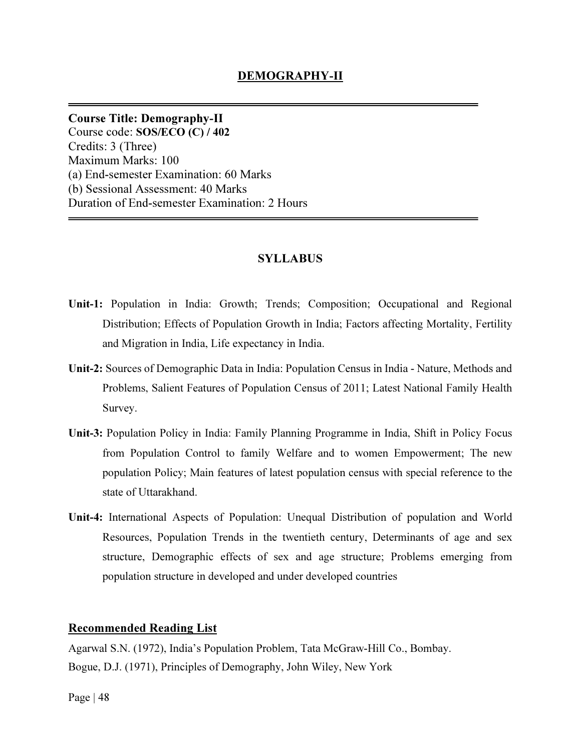Course Title: Demography-II Course code: SOS/ECO (C) / 402 Credits: 3 (Three) Maximum Marks: 100 (a) End-semester Examination: 60 Marks (b) Sessional Assessment: 40 Marks Duration of End-semester Examination: 2 Hours

# SYLLABUS

- Unit-1: Population in India: Growth; Trends; Composition; Occupational and Regional Distribution; Effects of Population Growth in India; Factors affecting Mortality, Fertility and Migration in India, Life expectancy in India.
- Unit-2: Sources of Demographic Data in India: Population Census in India Nature, Methods and Problems, Salient Features of Population Census of 2011; Latest National Family Health Survey.
- Unit-3: Population Policy in India: Family Planning Programme in India, Shift in Policy Focus from Population Control to family Welfare and to women Empowerment; The new population Policy; Main features of latest population census with special reference to the state of Uttarakhand.
- Unit-4: International Aspects of Population: Unequal Distribution of population and World Resources, Population Trends in the twentieth century, Determinants of age and sex structure, Demographic effects of sex and age structure; Problems emerging from population structure in developed and under developed countries

## Recommended Reading List

Agarwal S.N. (1972), India's Population Problem, Tata McGraw-Hill Co., Bombay. Bogue, D.J. (1971), Principles of Demography, John Wiley, New York

Page  $|48$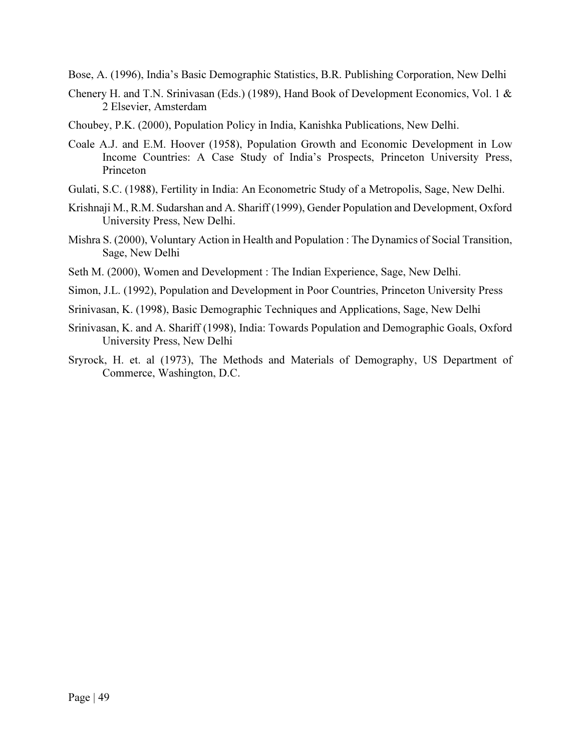Bose, A. (1996), India's Basic Demographic Statistics, B.R. Publishing Corporation, New Delhi

- Chenery H. and T.N. Srinivasan (Eds.) (1989), Hand Book of Development Economics, Vol. 1 & 2 Elsevier, Amsterdam
- Choubey, P.K. (2000), Population Policy in India, Kanishka Publications, New Delhi.
- Coale A.J. and E.M. Hoover (1958), Population Growth and Economic Development in Low Income Countries: A Case Study of India's Prospects, Princeton University Press, Princeton
- Gulati, S.C. (1988), Fertility in India: An Econometric Study of a Metropolis, Sage, New Delhi.
- Krishnaji M., R.M. Sudarshan and A. Shariff (1999), Gender Population and Development, Oxford University Press, New Delhi.
- Mishra S. (2000), Voluntary Action in Health and Population : The Dynamics of Social Transition, Sage, New Delhi
- Seth M. (2000), Women and Development : The Indian Experience, Sage, New Delhi.
- Simon, J.L. (1992), Population and Development in Poor Countries, Princeton University Press
- Srinivasan, K. (1998), Basic Demographic Techniques and Applications, Sage, New Delhi
- Srinivasan, K. and A. Shariff (1998), India: Towards Population and Demographic Goals, Oxford University Press, New Delhi
- Sryrock, H. et. al (1973), The Methods and Materials of Demography, US Department of Commerce, Washington, D.C.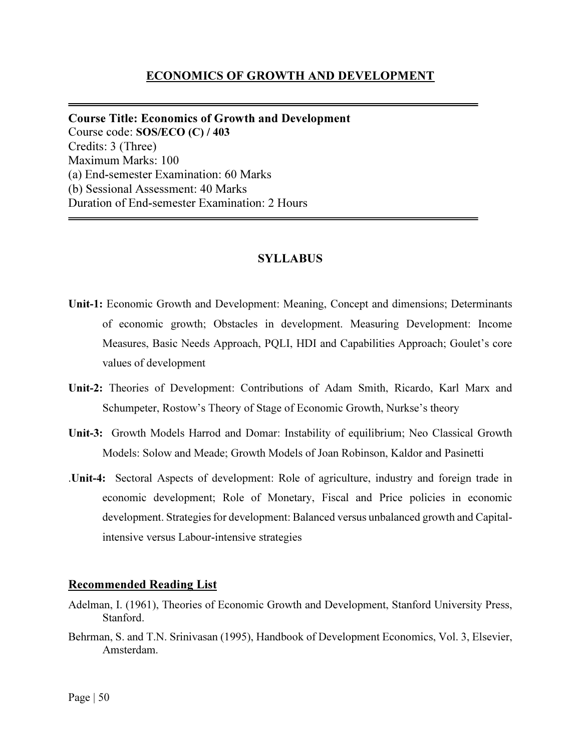### ECONOMICS OF GROWTH AND DEVELOPMENT

Course Title: Economics of Growth and Development Course code: SOS/ECO (C) / 403 Credits: 3 (Three) Maximum Marks: 100 (a) End-semester Examination: 60 Marks (b) Sessional Assessment: 40 Marks Duration of End-semester Examination: 2 Hours

#### SYLLABUS

- Unit-1: Economic Growth and Development: Meaning, Concept and dimensions; Determinants of economic growth; Obstacles in development. Measuring Development: Income Measures, Basic Needs Approach, PQLI, HDI and Capabilities Approach; Goulet's core values of development
- Unit-2: Theories of Development: Contributions of Adam Smith, Ricardo, Karl Marx and Schumpeter, Rostow's Theory of Stage of Economic Growth, Nurkse's theory
- Unit-3: Growth Models Harrod and Domar: Instability of equilibrium; Neo Classical Growth Models: Solow and Meade; Growth Models of Joan Robinson, Kaldor and Pasinetti
- .Unit-4: Sectoral Aspects of development: Role of agriculture, industry and foreign trade in economic development; Role of Monetary, Fiscal and Price policies in economic development. Strategies for development: Balanced versus unbalanced growth and Capitalintensive versus Labour-intensive strategies

#### Recommended Reading List

- Adelman, I. (1961), Theories of Economic Growth and Development, Stanford University Press, Stanford.
- Behrman, S. and T.N. Srinivasan (1995), Handbook of Development Economics, Vol. 3, Elsevier, Amsterdam.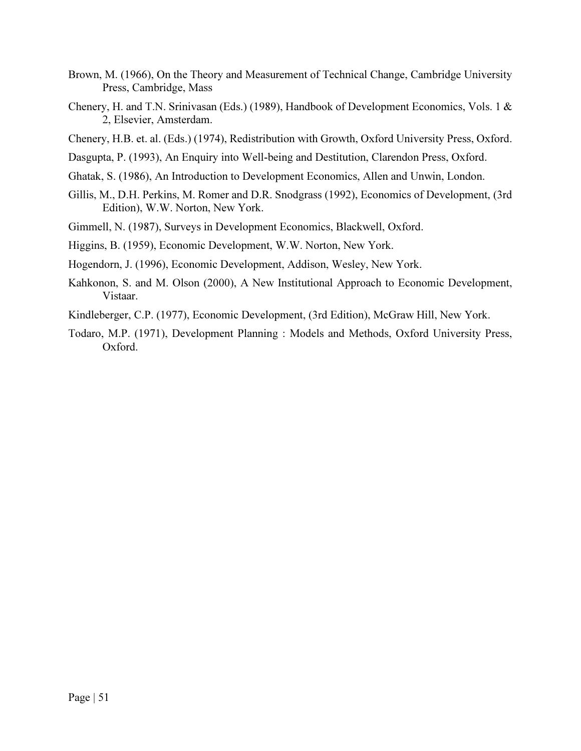- Brown, M. (1966), On the Theory and Measurement of Technical Change, Cambridge University Press, Cambridge, Mass
- Chenery, H. and T.N. Srinivasan (Eds.) (1989), Handbook of Development Economics, Vols. 1 & 2, Elsevier, Amsterdam.
- Chenery, H.B. et. al. (Eds.) (1974), Redistribution with Growth, Oxford University Press, Oxford.
- Dasgupta, P. (1993), An Enquiry into Well-being and Destitution, Clarendon Press, Oxford.
- Ghatak, S. (1986), An Introduction to Development Economics, Allen and Unwin, London.
- Gillis, M., D.H. Perkins, M. Romer and D.R. Snodgrass (1992), Economics of Development, (3rd Edition), W.W. Norton, New York.
- Gimmell, N. (1987), Surveys in Development Economics, Blackwell, Oxford.
- Higgins, B. (1959), Economic Development, W.W. Norton, New York.
- Hogendorn, J. (1996), Economic Development, Addison, Wesley, New York.
- Kahkonon, S. and M. Olson (2000), A New Institutional Approach to Economic Development, Vistaar.
- Kindleberger, C.P. (1977), Economic Development, (3rd Edition), McGraw Hill, New York.
- Todaro, M.P. (1971), Development Planning : Models and Methods, Oxford University Press, Oxford.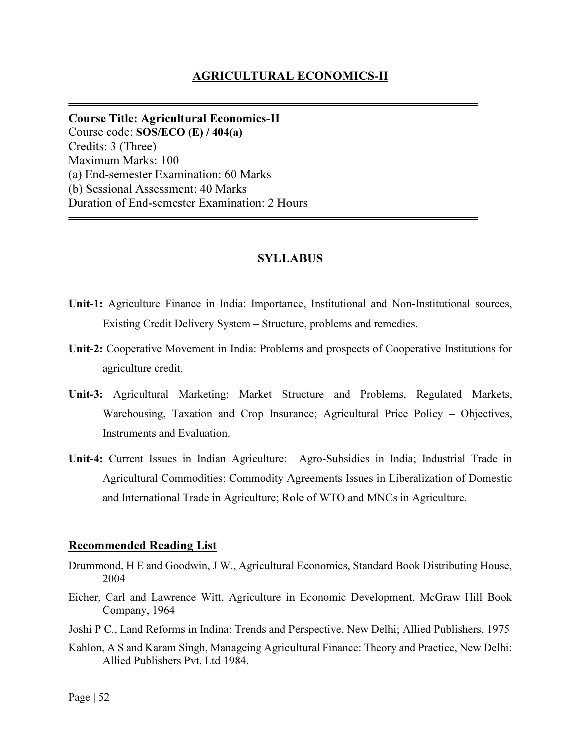## AGRICULTURAL ECONOMICS-II

Course Title: Agricultural Economics-II Course code: SOS/ECO (E) / 404(a) Credits: 3 (Three) Maximum Marks: 100 (a) End-semester Examination: 60 Marks (b) Sessional Assessment: 40 Marks Duration of End-semester Examination: 2 Hours

#### SYLLABUS

- Unit-1: Agriculture Finance in India: Importance, Institutional and Non-Institutional sources, Existing Credit Delivery System – Structure, problems and remedies.
- Unit-2: Cooperative Movement in India: Problems and prospects of Cooperative Institutions for agriculture credit.
- Unit-3: Agricultural Marketing: Market Structure and Problems, Regulated Markets, Warehousing, Taxation and Crop Insurance; Agricultural Price Policy – Objectives, Instruments and Evaluation.
- Unit-4: Current Issues in Indian Agriculture: Agro-Subsidies in India; Industrial Trade in Agricultural Commodities: Commodity Agreements Issues in Liberalization of Domestic and International Trade in Agriculture; Role of WTO and MNCs in Agriculture.

#### Recommended Reading List

- Drummond, H E and Goodwin, J W., Agricultural Economics, Standard Book Distributing House, 2004
- Eicher, Carl and Lawrence Witt, Agriculture in Economic Development, McGraw Hill Book Company, 1964
- Joshi P C., Land Reforms in Indina: Trends and Perspective, New Delhi; Allied Publishers, 1975
- Kahlon, A S and Karam Singh, Manageing Agricultural Finance: Theory and Practice, New Delhi: Allied Publishers Pvt. Ltd 1984.

Page | 52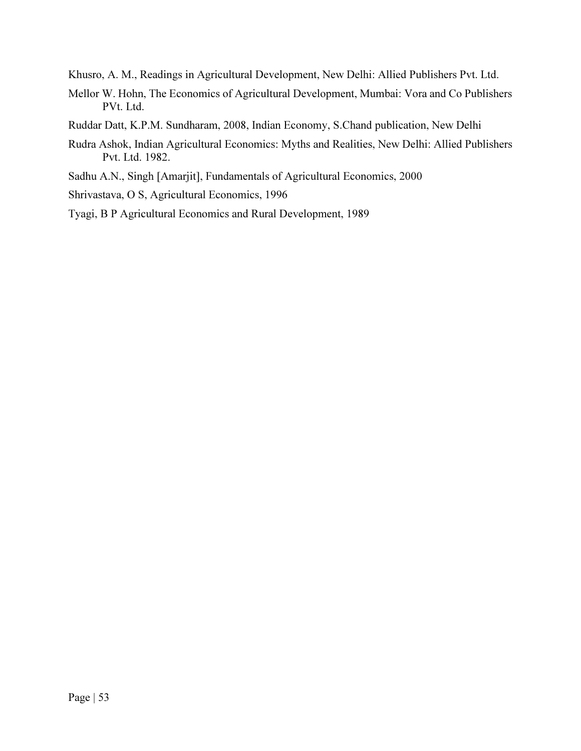Khusro, A. M., Readings in Agricultural Development, New Delhi: Allied Publishers Pvt. Ltd.

- Mellor W. Hohn, The Economics of Agricultural Development, Mumbai: Vora and Co Publishers PVt. Ltd.
- Ruddar Datt, K.P.M. Sundharam, 2008, Indian Economy, S.Chand publication, New Delhi
- Rudra Ashok, Indian Agricultural Economics: Myths and Realities, New Delhi: Allied Publishers Pvt. Ltd. 1982.
- Sadhu A.N., Singh [Amarjit], Fundamentals of Agricultural Economics, 2000
- Shrivastava, O S, Agricultural Economics, 1996
- Tyagi, B P Agricultural Economics and Rural Development, 1989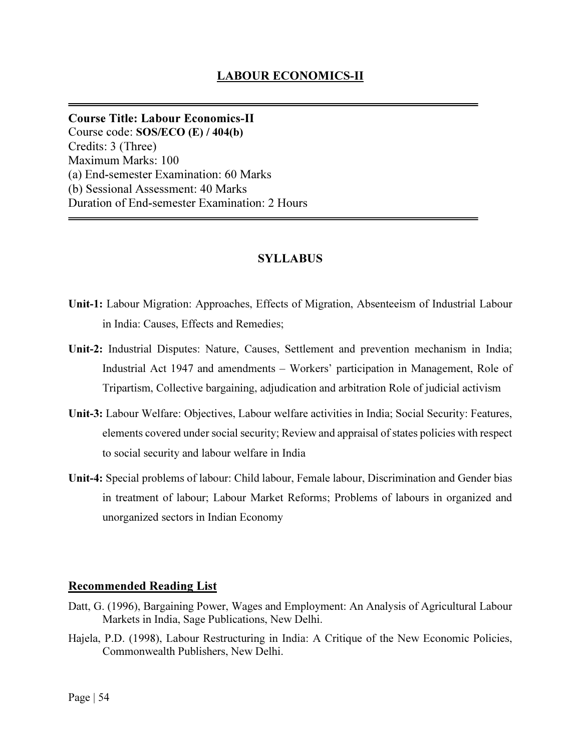Course Title: Labour Economics-II Course code: SOS/ECO (E) / 404(b) Credits: 3 (Three) Maximum Marks: 100 (a) End-semester Examination: 60 Marks (b) Sessional Assessment: 40 Marks Duration of End-semester Examination: 2 Hours

# SYLLABUS

- Unit-1: Labour Migration: Approaches, Effects of Migration, Absenteeism of Industrial Labour in India: Causes, Effects and Remedies;
- Unit-2: Industrial Disputes: Nature, Causes, Settlement and prevention mechanism in India; Industrial Act 1947 and amendments – Workers' participation in Management, Role of Tripartism, Collective bargaining, adjudication and arbitration Role of judicial activism
- Unit-3: Labour Welfare: Objectives, Labour welfare activities in India; Social Security: Features, elements covered under social security; Review and appraisal of states policies with respect to social security and labour welfare in India
- Unit-4: Special problems of labour: Child labour, Female labour, Discrimination and Gender bias in treatment of labour; Labour Market Reforms; Problems of labours in organized and unorganized sectors in Indian Economy

### Recommended Reading List

- Datt, G. (1996), Bargaining Power, Wages and Employment: An Analysis of Agricultural Labour Markets in India, Sage Publications, New Delhi.
- Hajela, P.D. (1998), Labour Restructuring in India: A Critique of the New Economic Policies, Commonwealth Publishers, New Delhi.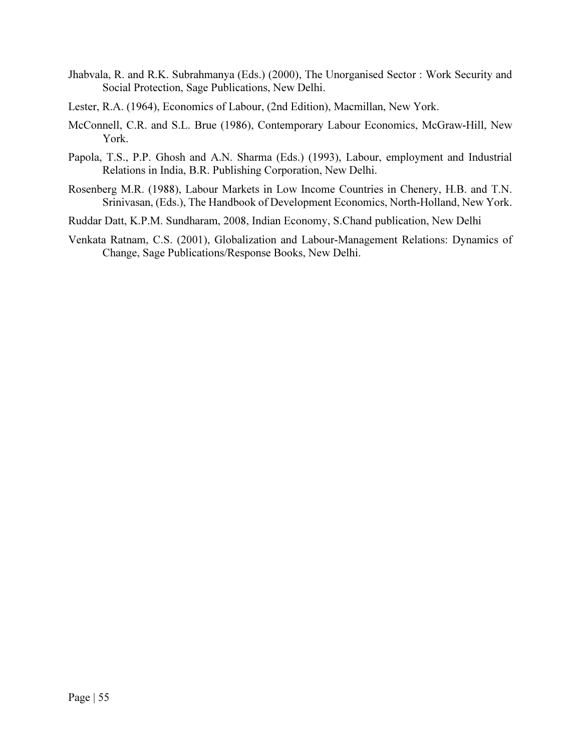- Jhabvala, R. and R.K. Subrahmanya (Eds.) (2000), The Unorganised Sector : Work Security and Social Protection, Sage Publications, New Delhi.
- Lester, R.A. (1964), Economics of Labour, (2nd Edition), Macmillan, New York.
- McConnell, C.R. and S.L. Brue (1986), Contemporary Labour Economics, McGraw-Hill, New York.
- Papola, T.S., P.P. Ghosh and A.N. Sharma (Eds.) (1993), Labour, employment and Industrial Relations in India, B.R. Publishing Corporation, New Delhi.
- Rosenberg M.R. (1988), Labour Markets in Low Income Countries in Chenery, H.B. and T.N. Srinivasan, (Eds.), The Handbook of Development Economics, North-Holland, New York.
- Ruddar Datt, K.P.M. Sundharam, 2008, Indian Economy, S.Chand publication, New Delhi
- Venkata Ratnam, C.S. (2001), Globalization and Labour-Management Relations: Dynamics of Change, Sage Publications/Response Books, New Delhi.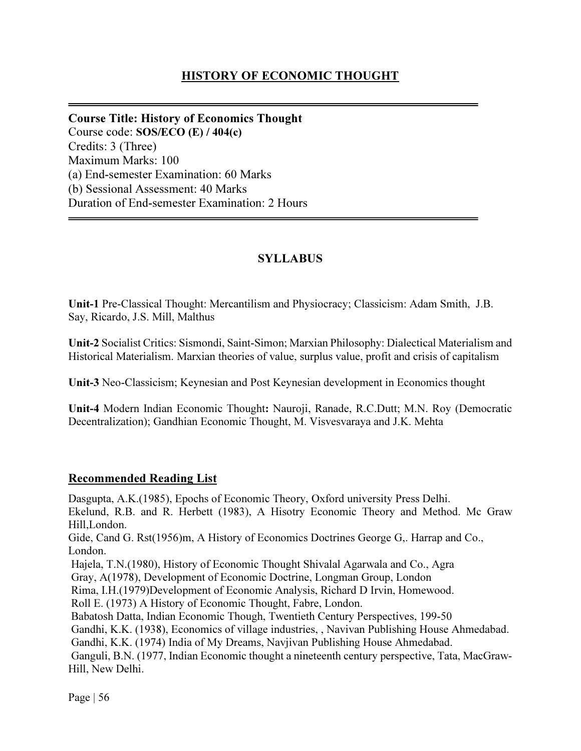# HISTORY OF ECONOMIC THOUGHT

Course Title: History of Economics Thought Course code: SOS/ECO (E) / 404(c) Credits: 3 (Three) Maximum Marks: 100 (a) End-semester Examination: 60 Marks (b) Sessional Assessment: 40 Marks Duration of End-semester Examination: 2 Hours

# **SYLLABUS**

Unit-1 Pre-Classical Thought: Mercantilism and Physiocracy; Classicism: Adam Smith, J.B. Say, Ricardo, J.S. Mill, Malthus

Unit-2 Socialist Critics: Sismondi, Saint-Simon; Marxian Philosophy: Dialectical Materialism and Historical Materialism. Marxian theories of value, surplus value, profit and crisis of capitalism

Unit-3 Neo-Classicism; Keynesian and Post Keynesian development in Economics thought

Unit-4 Modern Indian Economic Thought: Nauroji, Ranade, R.C.Dutt; M.N. Roy (Democratic Decentralization); Gandhian Economic Thought, M. Visvesvaraya and J.K. Mehta

# Recommended Reading List

Dasgupta, A.K.(1985), Epochs of Economic Theory, Oxford university Press Delhi. Ekelund, R.B. and R. Herbett (1983), A Hisotry Economic Theory and Method. Mc Graw Hill,London. Gide, Cand G. Rst(1956)m, A History of Economics Doctrines George G,. Harrap and Co., London. Hajela, T.N.(1980), History of Economic Thought Shivalal Agarwala and Co., Agra Gray, A(1978), Development of Economic Doctrine, Longman Group, London Rima, I.H.(1979)Development of Economic Analysis, Richard D Irvin, Homewood. Roll E. (1973) A History of Economic Thought, Fabre, London. Babatosh Datta, Indian Economic Though, Twentieth Century Perspectives, 199-50 Gandhi, K.K. (1938), Economics of village industries, , Navivan Publishing House Ahmedabad. Gandhi, K.K. (1974) India of My Dreams, Navjivan Publishing House Ahmedabad. Ganguli, B.N. (1977, Indian Economic thought a nineteenth century perspective, Tata, MacGraw-Hill, New Delhi.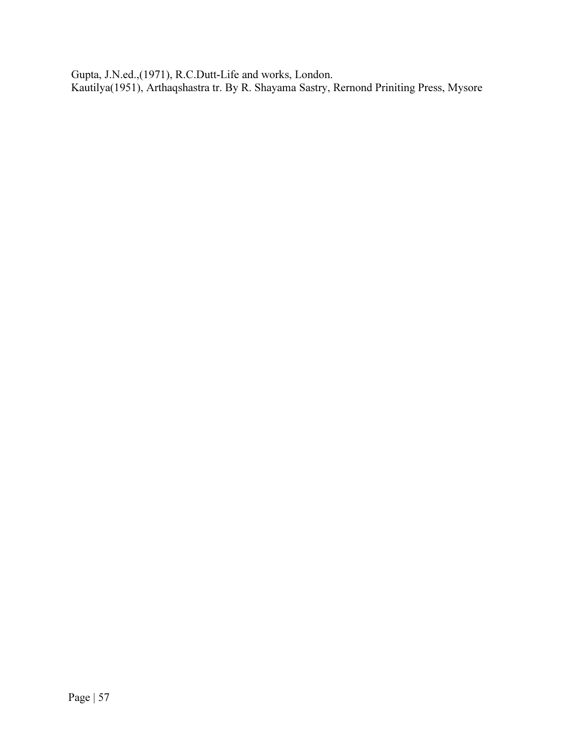Gupta, J.N.ed.,(1971), R.C.Dutt-Life and works, London. Kautilya(1951), Arthaqshastra tr. By R. Shayama Sastry, Rernond Priniting Press, Mysore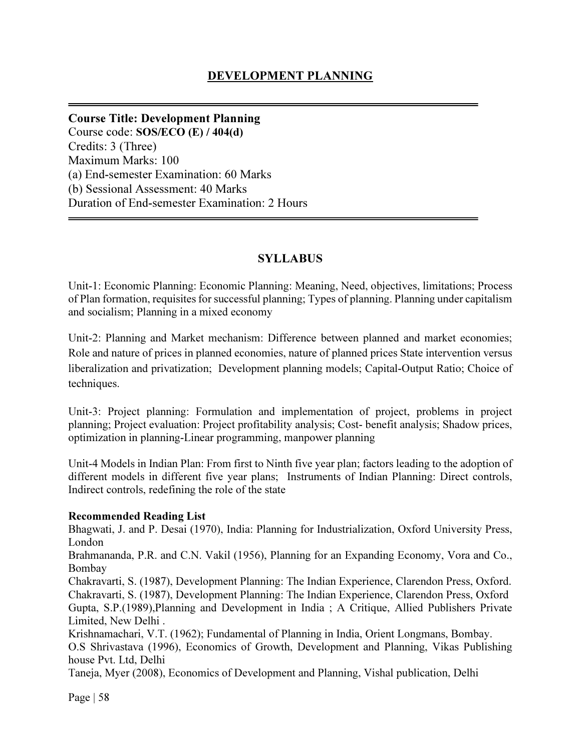Course Title: Development Planning Course code: SOS/ECO (E) / 404(d) Credits: 3 (Three) Maximum Marks: 100 (a) End-semester Examination: 60 Marks (b) Sessional Assessment: 40 Marks Duration of End-semester Examination: 2 Hours

# **SYLLABUS**

Unit-1: Economic Planning: Economic Planning: Meaning, Need, objectives, limitations; Process of Plan formation, requisites for successful planning; Types of planning. Planning under capitalism and socialism; Planning in a mixed economy

Unit-2: Planning and Market mechanism: Difference between planned and market economies; Role and nature of prices in planned economies, nature of planned prices State intervention versus liberalization and privatization; Development planning models; Capital-Output Ratio; Choice of techniques.

Unit-3: Project planning: Formulation and implementation of project, problems in project planning; Project evaluation: Project profitability analysis; Cost- benefit analysis; Shadow prices, optimization in planning-Linear programming, manpower planning

Unit-4 Models in Indian Plan: From first to Ninth five year plan; factors leading to the adoption of different models in different five year plans; Instruments of Indian Planning: Direct controls, Indirect controls, redefining the role of the state

# Recommended Reading List

Bhagwati, J. and P. Desai (1970), India: Planning for Industrialization, Oxford University Press, London

Brahmananda, P.R. and C.N. Vakil (1956), Planning for an Expanding Economy, Vora and Co., Bombay

Chakravarti, S. (1987), Development Planning: The Indian Experience, Clarendon Press, Oxford. Chakravarti, S. (1987), Development Planning: The Indian Experience, Clarendon Press, Oxford Gupta, S.P.(1989),Planning and Development in India ; A Critique, Allied Publishers Private Limited, New Delhi .

Krishnamachari, V.T. (1962); Fundamental of Planning in India, Orient Longmans, Bombay. O.S Shrivastava (1996), Economics of Growth, Development and Planning, Vikas Publishing house Pvt. Ltd, Delhi

Taneja, Myer (2008), Economics of Development and Planning, Vishal publication, Delhi

Page | 58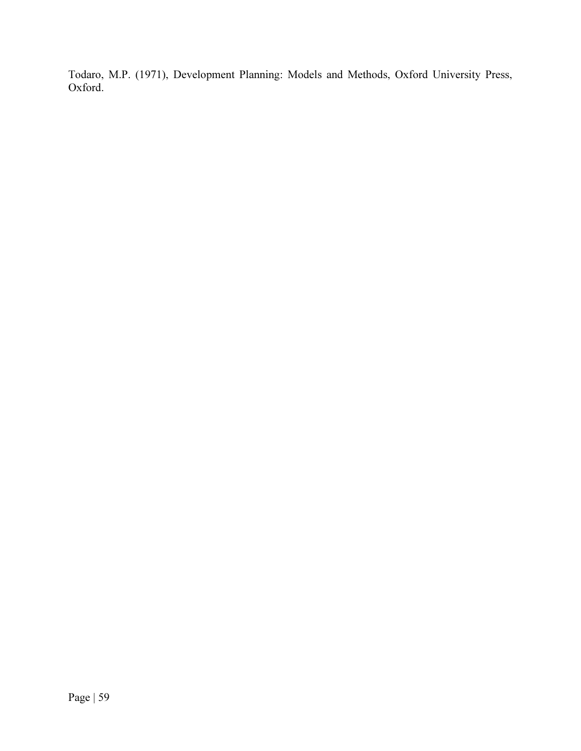Todaro, M.P. (1971), Development Planning: Models and Methods, Oxford University Press, Oxford.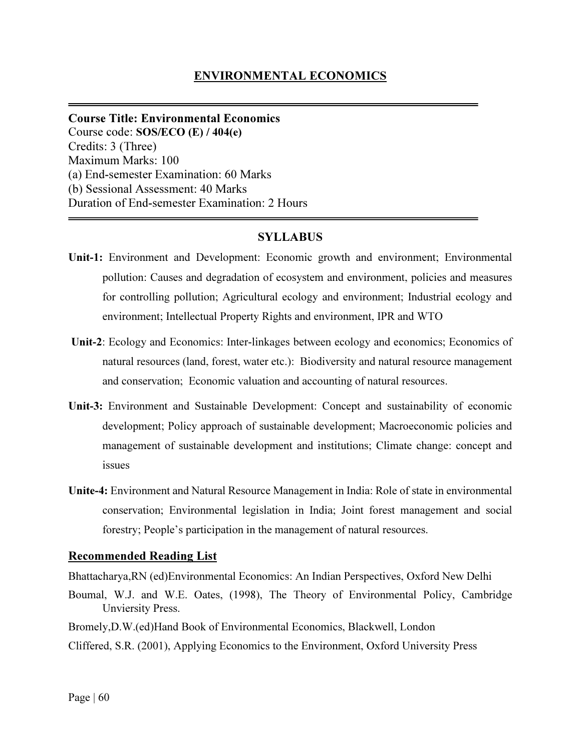Course Title: Environmental Economics Course code: SOS/ECO (E) / 404(e) Credits: 3 (Three) Maximum Marks: 100 (a) End-semester Examination: 60 Marks (b) Sessional Assessment: 40 Marks Duration of End-semester Examination: 2 Hours

# **SYLLABUS**

- Unit-1: Environment and Development: Economic growth and environment; Environmental pollution: Causes and degradation of ecosystem and environment, policies and measures for controlling pollution; Agricultural ecology and environment; Industrial ecology and environment; Intellectual Property Rights and environment, IPR and WTO
- Unit-2: Ecology and Economics: Inter-linkages between ecology and economics; Economics of natural resources (land, forest, water etc.): Biodiversity and natural resource management and conservation; Economic valuation and accounting of natural resources.
- Unit-3: Environment and Sustainable Development: Concept and sustainability of economic development; Policy approach of sustainable development; Macroeconomic policies and management of sustainable development and institutions; Climate change: concept and issues
- Unite-4: Environment and Natural Resource Management in India: Role of state in environmental conservation; Environmental legislation in India; Joint forest management and social forestry; People's participation in the management of natural resources.

# Recommended Reading List

Bhattacharya,RN (ed)Environmental Economics: An Indian Perspectives, Oxford New Delhi

- Boumal, W.J. and W.E. Oates, (1998), The Theory of Environmental Policy, Cambridge Unviersity Press.
- Bromely,D.W.(ed)Hand Book of Environmental Economics, Blackwell, London

Cliffered, S.R. (2001), Applying Economics to the Environment, Oxford University Press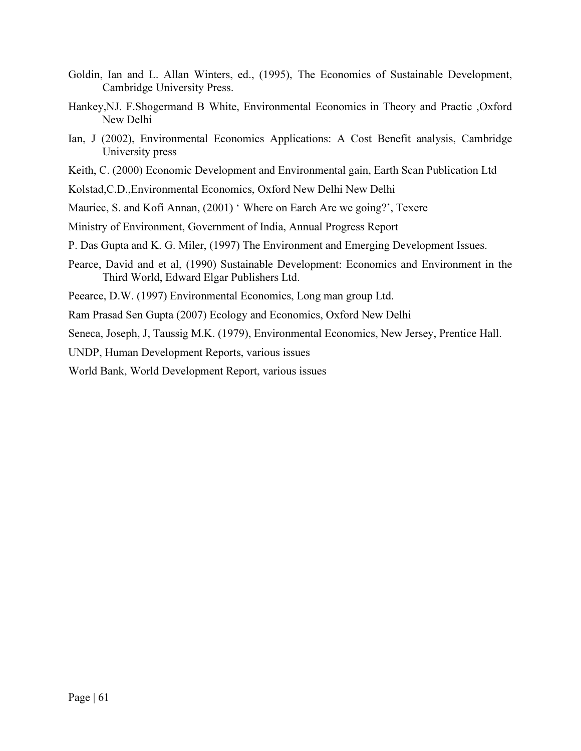- Goldin, Ian and L. Allan Winters, ed., (1995), The Economics of Sustainable Development, Cambridge University Press.
- Hankey,NJ. F.Shogermand B White, Environmental Economics in Theory and Practic ,Oxford New Delhi
- Ian, J (2002), Environmental Economics Applications: A Cost Benefit analysis, Cambridge University press
- Keith, C. (2000) Economic Development and Environmental gain, Earth Scan Publication Ltd
- Kolstad,C.D.,Environmental Economics, Oxford New Delhi New Delhi
- Mauriec, S. and Kofi Annan, (2001) ' Where on Earch Are we going?', Texere
- Ministry of Environment, Government of India, Annual Progress Report
- P. Das Gupta and K. G. Miler, (1997) The Environment and Emerging Development Issues.
- Pearce, David and et al, (1990) Sustainable Development: Economics and Environment in the Third World, Edward Elgar Publishers Ltd.
- Peearce, D.W. (1997) Environmental Economics, Long man group Ltd.
- Ram Prasad Sen Gupta (2007) Ecology and Economics, Oxford New Delhi

Seneca, Joseph, J, Taussig M.K. (1979), Environmental Economics, New Jersey, Prentice Hall.

UNDP, Human Development Reports, various issues

World Bank, World Development Report, various issues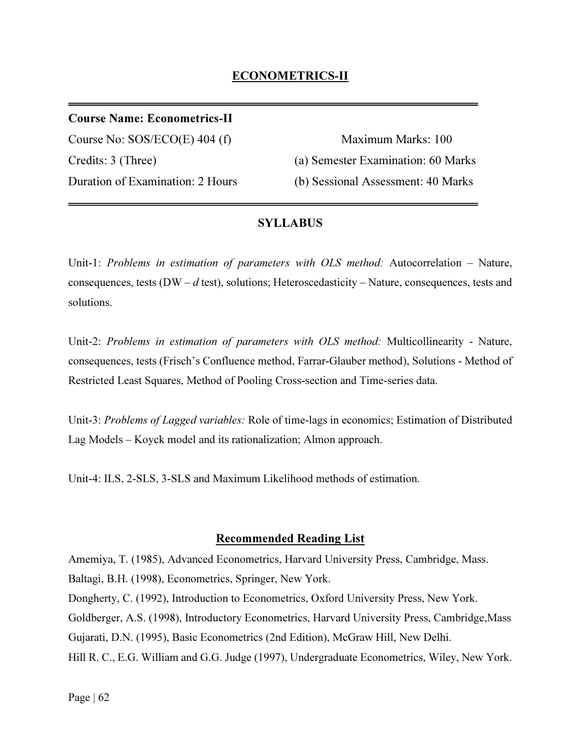# ECONOMETRICS-II

## Course Name: Econometrics-II

Course No: SOS/ECO(E) 404 (f) Maximum Marks: 100

Credits: 3 (Three) (a) Semester Examination: 60 Marks Duration of Examination: 2 Hours (b) Sessional Assessment: 40 Marks

## SYLLABUS

Unit-1: Problems in estimation of parameters with OLS method: Autocorrelation – Nature, consequences, tests ( $DW - d$  test), solutions; Heteroscedasticity – Nature, consequences, tests and solutions.

Unit-2: Problems in estimation of parameters with OLS method: Multicollinearity - Nature, consequences, tests (Frisch's Confluence method, Farrar-Glauber method), Solutions - Method of Restricted Least Squares, Method of Pooling Cross-section and Time-series data.

Unit-3: *Problems of Lagged variables:* Role of time-lags in economics; Estimation of Distributed Lag Models – Koyck model and its rationalization; Almon approach.

Unit-4: ILS, 2-SLS, 3-SLS and Maximum Likelihood methods of estimation.

### Recommended Reading List

Amemiya, T. (1985), Advanced Econometrics, Harvard University Press, Cambridge, Mass. Baltagi, B.H. (1998), Econometrics, Springer, New York. Dongherty, C. (1992), Introduction to Econometrics, Oxford University Press, New York. Goldberger, A.S. (1998), Introductory Econometrics, Harvard University Press, Cambridge,Mass Gujarati, D.N. (1995), Basic Econometrics (2nd Edition), McGraw Hill, New Delhi. Hill R. C., E.G. William and G.G. Judge (1997), Undergraduate Econometrics, Wiley, New York.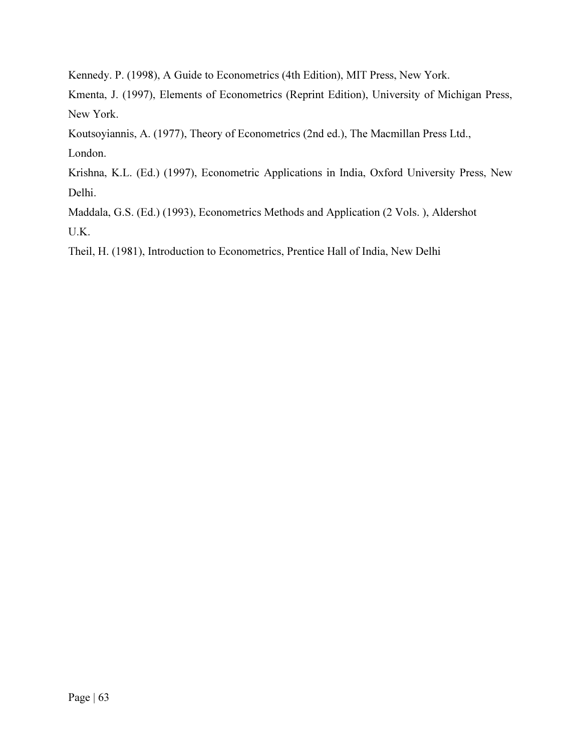Kennedy. P. (1998), A Guide to Econometrics (4th Edition), MIT Press, New York.

Kmenta, J. (1997), Elements of Econometrics (Reprint Edition), University of Michigan Press, New York.

Koutsoyiannis, A. (1977), Theory of Econometrics (2nd ed.), The Macmillan Press Ltd.,

London.

Krishna, K.L. (Ed.) (1997), Econometric Applications in India, Oxford University Press, New Delhi.

Maddala, G.S. (Ed.) (1993), Econometrics Methods and Application (2 Vols. ), Aldershot U.K.

Theil, H. (1981), Introduction to Econometrics, Prentice Hall of India, New Delhi